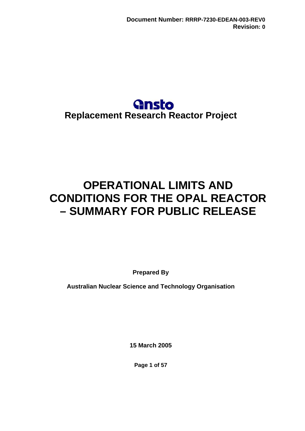# **Gnsto Replacement Research Reactor Project**

# **OPERATIONAL LIMITS AND CONDITIONS FOR THE OPAL REACTOR – SUMMARY FOR PUBLIC RELEASE**

**Prepared By** 

**Australian Nuclear Science and Technology Organisation** 

**15 March 2005** 

**Page 1 of 57**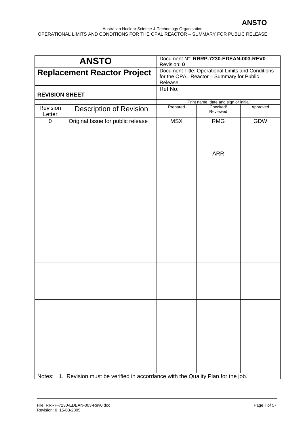|                                                                                                                                                 | <b>ANSTO</b>                                                                  | Revision: 0 | Document N°: RRRP-7230-EDEAN-003-REV0 |          |
|-------------------------------------------------------------------------------------------------------------------------------------------------|-------------------------------------------------------------------------------|-------------|---------------------------------------|----------|
| Document Title: Operational Limits and Conditions<br><b>Replacement Reactor Project</b><br>for the OPAL Reactor - Summary for Public<br>Release |                                                                               |             |                                       |          |
|                                                                                                                                                 |                                                                               | Ref No:     |                                       |          |
| <b>REVISION SHEET</b>                                                                                                                           |                                                                               |             | Print name, date and sign or initial  |          |
| Revision<br>Letter                                                                                                                              | <b>Description of Revision</b>                                                | Prepared    | Checked/<br>Reviewed                  | Approved |
| $\pmb{0}$                                                                                                                                       | Original Issue for public release                                             | <b>MSX</b>  | <b>RMG</b>                            | GDW      |
|                                                                                                                                                 |                                                                               |             | <b>ARR</b>                            |          |
|                                                                                                                                                 |                                                                               |             |                                       |          |
|                                                                                                                                                 |                                                                               |             |                                       |          |
|                                                                                                                                                 |                                                                               |             |                                       |          |
|                                                                                                                                                 |                                                                               |             |                                       |          |
|                                                                                                                                                 |                                                                               |             |                                       |          |
|                                                                                                                                                 |                                                                               |             |                                       |          |
| Notes:                                                                                                                                          | 1. Revision must be verified in accordance with the Quality Plan for the job. |             |                                       |          |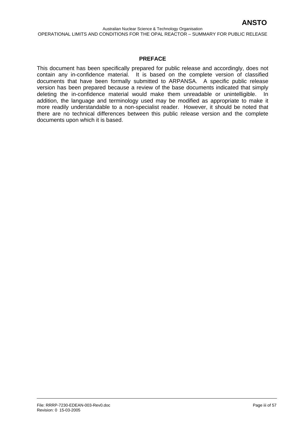#### **PREFACE**

This document has been specifically prepared for public release and accordingly, does not contain any in-confidence material. It is based on the complete version of classified documents that have been formally submitted to ARPANSA. A specific public release version has been prepared because a review of the base documents indicated that simply deleting the in-confidence material would make them unreadable or unintelligible. In addition, the language and terminology used may be modified as appropriate to make it more readily understandable to a non-specialist reader. However, it should be noted that there are no technical differences between this public release version and the complete documents upon which it is based.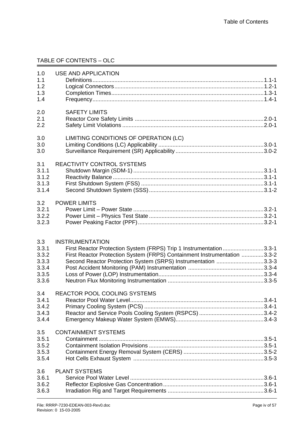## TABLE OF CONTENTS – OLC

| 1.0<br>1.1<br>1.2<br>1.3<br>1.4                           | <b>USE AND APPLICATION</b>                                                                                                                                                                                                                |            |
|-----------------------------------------------------------|-------------------------------------------------------------------------------------------------------------------------------------------------------------------------------------------------------------------------------------------|------------|
| 2.0<br>2.1<br>2.2                                         | <b>SAFETY LIMITS</b>                                                                                                                                                                                                                      |            |
| 3.0<br>3.0<br>3.0                                         | LIMITING CONDITIONS OF OPERATION (LC)                                                                                                                                                                                                     |            |
| 3.1<br>3.1.1<br>3.1.2<br>3.1.3<br>3.1.4                   | <b>REACTIVITY CONTROL SYSTEMS</b>                                                                                                                                                                                                         |            |
| 3.2<br>3.2.1<br>3.2.2<br>3.2.3                            | <b>POWER LIMITS</b>                                                                                                                                                                                                                       |            |
| 3.3<br>3.3.1<br>3.3.2<br>3.3.3<br>3.3.4<br>3.3.5<br>3.3.6 | <b>INSTRUMENTATION</b><br>First Reactor Protection System (FRPS) Trip 1 Instrumentation3.3-1<br>First Reactor Protection System (FRPS) Containment Instrumentation 3.3-2<br>Second Reactor Protection System (SRPS) Instrumentation 3.3-3 |            |
| 3.4<br>3.4.1<br>3.4.2<br>3.4.3<br>3.4.4                   | REACTOR POOL COOLING SYSTEMS                                                                                                                                                                                                              | $.3.4 - 1$ |
| 3.5<br>3.5.1<br>3.5.2<br>3.5.3<br>3.5.4                   | <b>CONTAINMENT SYSTEMS</b>                                                                                                                                                                                                                |            |
| 3.6<br>3.6.1<br>3.6.2<br>3.6.3                            | <b>PLANT SYSTEMS</b>                                                                                                                                                                                                                      |            |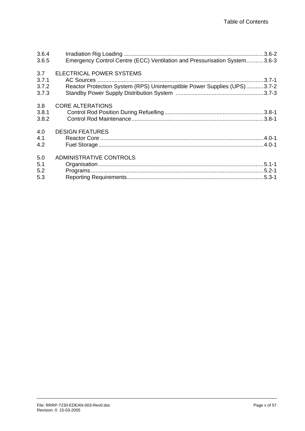| 3.6.4 |                                                                           |
|-------|---------------------------------------------------------------------------|
| 3.6.5 | Emergency Control Centre (ECC) Ventilation and Pressurisation System3.6-3 |
| 3.7   | <b>ELECTRICAL POWER SYSTEMS</b>                                           |
| 3.7.1 | $.3.7 - 1$                                                                |
| 3.7.2 | Reactor Protection System (RPS) Uninterruptible Power Supplies (UPS)3.7-2 |
| 3.7.3 |                                                                           |
| 3.8   | <b>CORE ALTERATIONS</b>                                                   |
| 3.8.1 |                                                                           |
| 3.8.2 |                                                                           |
| 4.0   | <b>DESIGN FEATURES</b>                                                    |
| 4.1   |                                                                           |
| 4.2   |                                                                           |
| 5.0   | ADMINISTRATIVE CONTROLS                                                   |
| 5.1   |                                                                           |
| 5.2   |                                                                           |
| 5.3   |                                                                           |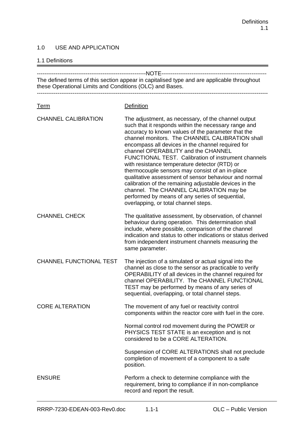#### 1.0 USE AND APPLICATION

#### 1.1 Definitions

| The defined terms of this section appear in capitalised type and are applicable throughout<br>these Operational Limits and Conditions (OLC) and Bases. |                                                                                                                                                                                                                                                                                                                                                                                                                                                                                                                                                                                                                                                                                                                                      |  |
|--------------------------------------------------------------------------------------------------------------------------------------------------------|--------------------------------------------------------------------------------------------------------------------------------------------------------------------------------------------------------------------------------------------------------------------------------------------------------------------------------------------------------------------------------------------------------------------------------------------------------------------------------------------------------------------------------------------------------------------------------------------------------------------------------------------------------------------------------------------------------------------------------------|--|
| <u>Term</u>                                                                                                                                            | <b>Definition</b>                                                                                                                                                                                                                                                                                                                                                                                                                                                                                                                                                                                                                                                                                                                    |  |
| <b>CHANNEL CALIBRATION</b>                                                                                                                             | The adjustment, as necessary, of the channel output<br>such that it responds within the necessary range and<br>accuracy to known values of the parameter that the<br>channel monitors. The CHANNEL CALIBRATION shall<br>encompass all devices in the channel required for<br>channel OPERABILITY and the CHANNEL<br>FUNCTIONAL TEST. Calibration of instrument channels<br>with resistance temperature detector (RTD) or<br>thermocouple sensors may consist of an in-place<br>qualitative assessment of sensor behaviour and normal<br>calibration of the remaining adjustable devices in the<br>channel. The CHANNEL CALIBRATION may be<br>performed by means of any series of sequential,<br>overlapping, or total channel steps. |  |
| <b>CHANNEL CHECK</b>                                                                                                                                   | The qualitative assessment, by observation, of channel<br>behaviour during operation. This determination shall<br>include, where possible, comparison of the channel<br>indication and status to other indications or status derived<br>from independent instrument channels measuring the<br>same parameter.                                                                                                                                                                                                                                                                                                                                                                                                                        |  |
| <b>CHANNEL FUNCTIONAL TEST</b>                                                                                                                         | The injection of a simulated or actual signal into the<br>channel as close to the sensor as practicable to verify<br>OPERABILITY of all devices in the channel required for<br>channel OPERABILITY. The CHANNEL FUNCTIONAL<br>TEST may be performed by means of any series of<br>sequential, overlapping, or total channel steps.                                                                                                                                                                                                                                                                                                                                                                                                    |  |
| <b>CORE ALTERATION</b>                                                                                                                                 | The movement of any fuel or reactivity control<br>components within the reactor core with fuel in the core.                                                                                                                                                                                                                                                                                                                                                                                                                                                                                                                                                                                                                          |  |
|                                                                                                                                                        | Normal control rod movement during the POWER or<br>PHYSICS TEST STATE is an exception and is not<br>considered to be a CORE ALTERATION.                                                                                                                                                                                                                                                                                                                                                                                                                                                                                                                                                                                              |  |
|                                                                                                                                                        | Suspension of CORE ALTERATIONS shall not preclude<br>completion of movement of a component to a safe<br>position.                                                                                                                                                                                                                                                                                                                                                                                                                                                                                                                                                                                                                    |  |
| <b>ENSURE</b>                                                                                                                                          | Perform a check to determine compliance with the<br>requirement, bring to compliance if in non-compliance<br>record and report the result.                                                                                                                                                                                                                                                                                                                                                                                                                                                                                                                                                                                           |  |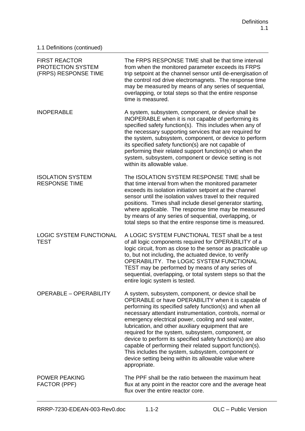| <b>FIRST REACTOR</b><br>PROTECTION SYSTEM<br>(FRPS) RESPONSE TIME | The FRPS RESPONSE TIME shall be that time interval<br>from when the monitored parameter exceeds its FRPS<br>trip setpoint at the channel sensor until de-energisation of<br>the control rod drive electromagnets. The response time<br>may be measured by means of any series of sequential,<br>overlapping, or total steps so that the entire response<br>time is measured.                                                                                                                                                                                                                                                                                 |
|-------------------------------------------------------------------|--------------------------------------------------------------------------------------------------------------------------------------------------------------------------------------------------------------------------------------------------------------------------------------------------------------------------------------------------------------------------------------------------------------------------------------------------------------------------------------------------------------------------------------------------------------------------------------------------------------------------------------------------------------|
| <b>INOPERABLE</b>                                                 | A system, subsystem, component, or device shall be<br>INOPERABLE when it is not capable of performing its<br>specified safety function(s). This includes when any of<br>the necessary supporting services that are required for<br>the system, subsystem, component, or device to perform<br>its specified safety function(s) are not capable of<br>performing their related support function(s) or when the<br>system, subsystem, component or device setting is not<br>within its allowable value.                                                                                                                                                         |
| <b>ISOLATION SYSTEM</b><br><b>RESPONSE TIME</b>                   | The ISOLATION SYSTEM RESPONSE TIME shall be<br>that time interval from when the monitored parameter<br>exceeds its isolation initiation setpoint at the channel<br>sensor until the isolation valves travel to their required<br>positions. Times shall include diesel generator starting,<br>where applicable. The response time may be measured<br>by means of any series of sequential, overlapping, or<br>total steps so that the entire response time is measured.                                                                                                                                                                                      |
| <b>LOGIC SYSTEM FUNCTIONAL</b><br><b>TEST</b>                     | A LOGIC SYSTEM FUNCTIONAL TEST shall be a test<br>of all logic components required for OPERABILITY of a<br>logic circuit, from as close to the sensor as practicable up<br>to, but not including, the actuated device, to verify<br>OPERABILITY. The LOGIC SYSTEM FUNCTIONAL<br>TEST may be performed by means of any series of<br>sequential, overlapping, or total system steps so that the<br>entire logic system is tested.                                                                                                                                                                                                                              |
| <b>OPERABLE - OPERABILITY</b>                                     | A system, subsystem, component, or device shall be<br>OPERABLE or have OPERABILITY when it is capable of<br>performing its specified safety function(s) and when all<br>necessary attendant instrumentation, controls, normal or<br>emergency electrical power, cooling and seal water,<br>lubrication, and other auxiliary equipment that are<br>required for the system, subsystem, component, or<br>device to perform its specified safety function(s) are also<br>capable of performing their related support function(s).<br>This includes the system, subsystem, component or<br>device setting being within its allowable value where<br>appropriate. |
| <b>POWER PEAKING</b><br>FACTOR (PPF)                              | The PPF shall be the ratio between the maximum heat<br>flux at any point in the reactor core and the average heat<br>flux over the entire reactor core.                                                                                                                                                                                                                                                                                                                                                                                                                                                                                                      |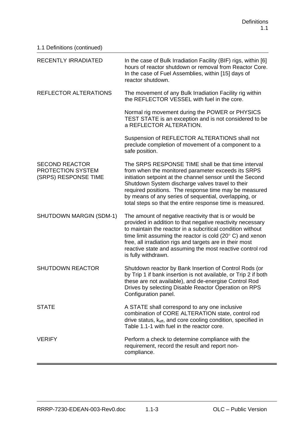| 1.1 Definitions (continued)                                        |                                                                                                                                                                                                                                                                                                                                                                                                                 |
|--------------------------------------------------------------------|-----------------------------------------------------------------------------------------------------------------------------------------------------------------------------------------------------------------------------------------------------------------------------------------------------------------------------------------------------------------------------------------------------------------|
| <b>RECENTLY IRRADIATED</b>                                         | In the case of Bulk Irradiation Facility (BIF) rigs, within [6]<br>hours of reactor shutdown or removal from Reactor Core.<br>In the case of Fuel Assemblies, within [15] days of<br>reactor shutdown.                                                                                                                                                                                                          |
| REFLECTOR ALTERATIONS                                              | The movement of any Bulk Irradiation Facility rig within<br>the REFLECTOR VESSEL with fuel in the core.                                                                                                                                                                                                                                                                                                         |
|                                                                    | Normal rig movement during the POWER or PHYSICS<br>TEST STATE is an exception and is not considered to be<br>a REFLECTOR ALTERATION.                                                                                                                                                                                                                                                                            |
|                                                                    | Suspension of REFLECTOR ALTERATIONS shall not<br>preclude completion of movement of a component to a<br>safe position.                                                                                                                                                                                                                                                                                          |
| <b>SECOND REACTOR</b><br>PROTECTION SYSTEM<br>(SRPS) RESPONSE TIME | The SRPS RESPONSE TIME shall be that time interval<br>from when the monitored parameter exceeds its SRPS<br>initiation setpoint at the channel sensor until the Second<br>Shutdown System discharge valves travel to their<br>required positions. The response time may be measured<br>by means of any series of sequential, overlapping, or<br>total steps so that the entire response time is measured.       |
| <b>SHUTDOWN MARGIN (SDM-1)</b>                                     | The amount of negative reactivity that is or would be<br>provided in addition to that negative reactivity necessary<br>to maintain the reactor in a subcritical condition without<br>time limit assuming the reactor is cold $(20^{\circ} \text{ C})$ and xenon<br>free, all irradiation rigs and targets are in their most<br>reactive state and assuming the most reactive control rod<br>is fully withdrawn. |
| <b>SHUTDOWN REACTOR</b>                                            | Shutdown reactor by Bank Insertion of Control Rods (or<br>by Trip 1 if bank insertion is not available, or Trip 2 if both<br>these are not available), and de-energise Control Rod<br>Drives by selecting Disable Reactor Operation on RPS<br>Configuration panel.                                                                                                                                              |
| <b>STATE</b>                                                       | A STATE shall correspond to any one inclusive<br>combination of CORE ALTERATION state, control rod<br>drive status, k <sub>eff</sub> , and core cooling condition, specified in<br>Table 1.1-1 with fuel in the reactor core.                                                                                                                                                                                   |
| <b>VERIFY</b>                                                      | Perform a check to determine compliance with the<br>requirement, record the result and report non-<br>compliance.                                                                                                                                                                                                                                                                                               |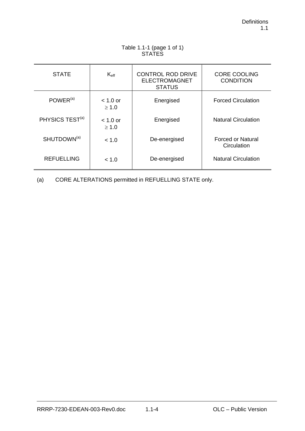| ◡╷╷╷∟◡                      |                          |                                                                   |                                         |
|-----------------------------|--------------------------|-------------------------------------------------------------------|-----------------------------------------|
| <b>STATE</b>                | $K_{\rm eff}$            | <b>CONTROL ROD DRIVE</b><br><b>ELECTROMAGNET</b><br><b>STATUS</b> | <b>CORE COOLING</b><br><b>CONDITION</b> |
| $POWER^{(a)}$               | $< 1.0$ or<br>$\geq 1.0$ | Energised                                                         | <b>Forced Circulation</b>               |
| PHYSICS TEST <sup>(a)</sup> | $< 1.0$ or<br>$\geq 1.0$ | Energised                                                         | <b>Natural Circulation</b>              |
| SHUTDOWN <sup>(a)</sup>     | < 1.0                    | De-energised                                                      | <b>Forced or Natural</b><br>Circulation |
| <b>REFUELLING</b>           | < 1.0                    | De-energised                                                      | <b>Natural Circulation</b>              |

## Table 1.1-1 (page 1 of 1) STATES

(a) CORE ALTERATIONS permitted in REFUELLING STATE only.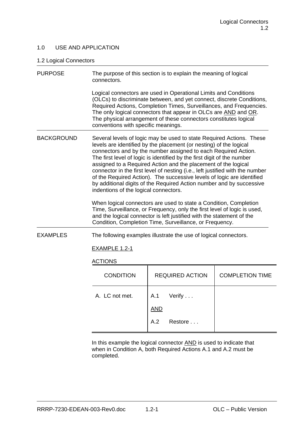## 1.0 USE AND APPLICATION

## 1.2 Logical Connectors

| <b>PURPOSE</b>    | The purpose of this section is to explain the meaning of logical<br>connectors.                                                                                                                                                                                                                                                                                                                                                                                                                                                                                                                                                                                                                                                                                                                                                                                                                                            |                        |                        |  |
|-------------------|----------------------------------------------------------------------------------------------------------------------------------------------------------------------------------------------------------------------------------------------------------------------------------------------------------------------------------------------------------------------------------------------------------------------------------------------------------------------------------------------------------------------------------------------------------------------------------------------------------------------------------------------------------------------------------------------------------------------------------------------------------------------------------------------------------------------------------------------------------------------------------------------------------------------------|------------------------|------------------------|--|
|                   | Logical connectors are used in Operational Limits and Conditions<br>(OLCs) to discriminate between, and yet connect, discrete Conditions,<br>Required Actions, Completion Times, Surveillances, and Frequencies.<br>The only logical connectors that appear in OLCs are AND and OR.<br>The physical arrangement of these connectors constitutes logical<br>conventions with specific meanings.                                                                                                                                                                                                                                                                                                                                                                                                                                                                                                                             |                        |                        |  |
| <b>BACKGROUND</b> | Several levels of logic may be used to state Required Actions. These<br>levels are identified by the placement (or nesting) of the logical<br>connectors and by the number assigned to each Required Action.<br>The first level of logic is identified by the first digit of the number<br>assigned to a Required Action and the placement of the logical<br>connector in the first level of nesting (i.e., left justified with the number<br>of the Required Action). The successive levels of logic are identified<br>by additional digits of the Required Action number and by successive<br>indentions of the logical connectors.<br>When logical connectors are used to state a Condition, Completion<br>Time, Surveillance, or Frequency, only the first level of logic is used,<br>and the logical connector is left justified with the statement of the<br>Condition, Completion Time, Surveillance, or Frequency. |                        |                        |  |
| <b>EXAMPLES</b>   | The following examples illustrate the use of logical connectors.                                                                                                                                                                                                                                                                                                                                                                                                                                                                                                                                                                                                                                                                                                                                                                                                                                                           |                        |                        |  |
|                   | <b>EXAMPLE 1.2-1</b>                                                                                                                                                                                                                                                                                                                                                                                                                                                                                                                                                                                                                                                                                                                                                                                                                                                                                                       |                        |                        |  |
| <b>ACTIONS</b>    |                                                                                                                                                                                                                                                                                                                                                                                                                                                                                                                                                                                                                                                                                                                                                                                                                                                                                                                            |                        |                        |  |
|                   | <b>CONDITION</b>                                                                                                                                                                                                                                                                                                                                                                                                                                                                                                                                                                                                                                                                                                                                                                                                                                                                                                           | <b>REQUIRED ACTION</b> | <b>COMPLETION TIME</b> |  |
|                   | A. LC not met.                                                                                                                                                                                                                                                                                                                                                                                                                                                                                                                                                                                                                                                                                                                                                                                                                                                                                                             | A.1<br>Verify $\ldots$ |                        |  |
|                   |                                                                                                                                                                                                                                                                                                                                                                                                                                                                                                                                                                                                                                                                                                                                                                                                                                                                                                                            | <b>AND</b>             |                        |  |
|                   |                                                                                                                                                                                                                                                                                                                                                                                                                                                                                                                                                                                                                                                                                                                                                                                                                                                                                                                            | A.2<br>Restore         |                        |  |

In this example the logical connector **AND** is used to indicate that when in Condition A, both Required Actions A.1 and A.2 must be completed.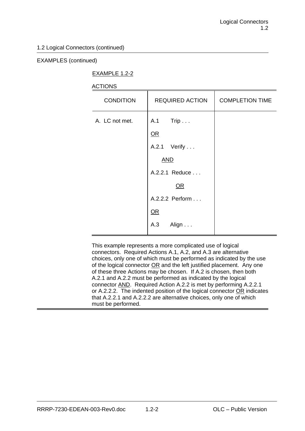## 1.2 Logical Connectors (continued)

## EXAMPLES (continued)

## EXAMPLE 1.2-2

## **ACTIONS**

| <b>CONDITION</b> | <b>REQUIRED ACTION</b>                                                                                          | <b>COMPLETION TIME</b> |
|------------------|-----------------------------------------------------------------------------------------------------------------|------------------------|
| A. LC not met.   | A.1 Trip<br>$OR$<br>A.2.1 Verify<br><b>AND</b><br>A.2.2.1 Reduce<br>OR<br>A.2.2.2 Perform<br>QR<br>Align<br>A.3 |                        |

This example represents a more complicated use of logical connectors. Required Actions A.1, A.2, and A.3 are alternative choices, only one of which must be performed as indicated by the use of the logical connector  $OR$  and the left justified placement. Any one of these three Actions may be chosen. If A.2 is chosen, then both A.2.1 and A.2.2 must be performed as indicated by the logical connector AND. Required Action A.2.2 is met by performing A.2.2.1 or A.2.2.2. The indented position of the logical connector OR indicates that A.2.2.1 and A.2.2.2 are alternative choices, only one of which must be performed.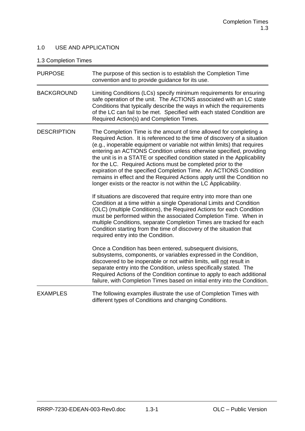## 1.0 USE AND APPLICATION

## 1.3 Completion Times

| <b>PURPOSE</b>     | The purpose of this section is to establish the Completion Time<br>convention and to provide guidance for its use.                                                                                                                                                                                                                                                                                                                                                                                                                                                                                                                                                                                                                                                                                                                                                                                                                                                                                                                                                                                                                               |
|--------------------|--------------------------------------------------------------------------------------------------------------------------------------------------------------------------------------------------------------------------------------------------------------------------------------------------------------------------------------------------------------------------------------------------------------------------------------------------------------------------------------------------------------------------------------------------------------------------------------------------------------------------------------------------------------------------------------------------------------------------------------------------------------------------------------------------------------------------------------------------------------------------------------------------------------------------------------------------------------------------------------------------------------------------------------------------------------------------------------------------------------------------------------------------|
| <b>BACKGROUND</b>  | Limiting Conditions (LCs) specify minimum requirements for ensuring<br>safe operation of the unit. The ACTIONS associated with an LC state<br>Conditions that typically describe the ways in which the requirements<br>of the LC can fail to be met. Specified with each stated Condition are<br>Required Action(s) and Completion Times.                                                                                                                                                                                                                                                                                                                                                                                                                                                                                                                                                                                                                                                                                                                                                                                                        |
| <b>DESCRIPTION</b> | The Completion Time is the amount of time allowed for completing a<br>Required Action. It is referenced to the time of discovery of a situation<br>(e.g., inoperable equipment or variable not within limits) that requires<br>entering an ACTIONS Condition unless otherwise specified, providing<br>the unit is in a STATE or specified condition stated in the Applicability<br>for the LC. Required Actions must be completed prior to the<br>expiration of the specified Completion Time. An ACTIONS Condition<br>remains in effect and the Required Actions apply until the Condition no<br>longer exists or the reactor is not within the LC Applicability.<br>If situations are discovered that require entry into more than one<br>Condition at a time within a single Operational Limits and Condition<br>(OLC) (multiple Conditions), the Required Actions for each Condition<br>must be performed within the associated Completion Time. When in<br>multiple Conditions, separate Completion Times are tracked for each<br>Condition starting from the time of discovery of the situation that<br>required entry into the Condition. |
|                    | Once a Condition has been entered, subsequent divisions,<br>subsystems, components, or variables expressed in the Condition,<br>discovered to be inoperable or not within limits, will not result in<br>separate entry into the Condition, unless specifically stated. The<br>Required Actions of the Condition continue to apply to each additional<br>failure, with Completion Times based on initial entry into the Condition.                                                                                                                                                                                                                                                                                                                                                                                                                                                                                                                                                                                                                                                                                                                |
| <b>EXAMPLES</b>    | The following examples illustrate the use of Completion Times with<br>different types of Conditions and changing Conditions.                                                                                                                                                                                                                                                                                                                                                                                                                                                                                                                                                                                                                                                                                                                                                                                                                                                                                                                                                                                                                     |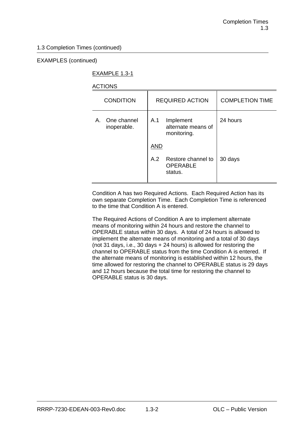## EXAMPLES (continued)

## EXAMPLE 1.3-1

## ACTIONS

| <b>CONDITION</b>              | <b>REQUIRED ACTION</b>                                  | <b>COMPLETION TIME</b> |
|-------------------------------|---------------------------------------------------------|------------------------|
| A. One channel<br>inoperable. | A.1<br>Implement<br>alternate means of<br>monitoring.   | 24 hours               |
|                               | <b>AND</b>                                              |                        |
|                               | A.2<br>Restore channel to<br><b>OPERABLE</b><br>status. | 30 days                |

Condition A has two Required Actions. Each Required Action has its own separate Completion Time. Each Completion Time is referenced to the time that Condition A is entered.

The Required Actions of Condition A are to implement alternate means of monitoring within 24 hours and restore the channel to OPERABLE status within 30 days. A total of 24 hours is allowed to implement the alternate means of monitoring and a total of 30 days (not 31 days, i.e., 30 days + 24 hours) is allowed for restoring the channel to OPERABLE status from the time Condition A is entered. If the alternate means of monitoring is established within 12 hours, the time allowed for restoring the channel to OPERABLE status is 29 days and 12 hours because the total time for restoring the channel to OPERABLE status is 30 days.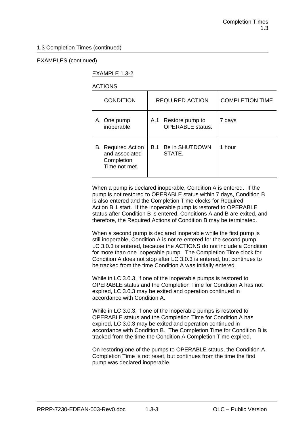## EXAMPLES (continued)

## EXAMPLE 1.3-2

## ACTIONS

| <b>CONDITION</b>                                                           | <b>REQUIRED ACTION</b>                            | <b>COMPLETION TIME</b> |
|----------------------------------------------------------------------------|---------------------------------------------------|------------------------|
| A. One pump<br>inoperable.                                                 | Restore pump to<br>A.1<br><b>OPERABLE</b> status. | 7 days                 |
| <b>B.</b> Required Action<br>and associated<br>Completion<br>Time not met. | Be in SHUTDOWN<br>B.1<br>STATE.                   | 1 hour                 |

When a pump is declared inoperable, Condition A is entered. If the pump is not restored to OPERABLE status within 7 days, Condition B is also entered and the Completion Time clocks for Required Action B.1 start. If the inoperable pump is restored to OPERABLE status after Condition B is entered, Conditions A and B are exited, and therefore, the Required Actions of Condition B may be terminated.

When a second pump is declared inoperable while the first pump is still inoperable, Condition A is not re-entered for the second pump. LC 3.0.3 is entered, because the ACTIONS do not include a Condition for more than one inoperable pump. The Completion Time clock for Condition A does not stop after LC 3.0.3 is entered, but continues to be tracked from the time Condition A was initially entered.

While in LC 3.0.3, if one of the inoperable pumps is restored to OPERABLE status and the Completion Time for Condition A has not expired, LC 3.0.3 may be exited and operation continued in accordance with Condition A.

While in LC 3.0.3, if one of the inoperable pumps is restored to OPERABLE status and the Completion Time for Condition A has expired, LC 3.0.3 may be exited and operation continued in accordance with Condition B. The Completion Time for Condition B is tracked from the time the Condition A Completion Time expired.

On restoring one of the pumps to OPERABLE status, the Condition A Completion Time is not reset, but continues from the time the first pump was declared inoperable.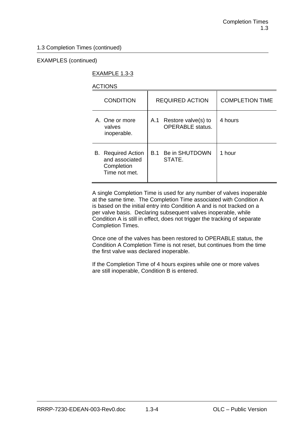## EXAMPLES (continued)

## EXAMPLE 1.3-3

## ACTIONS

| <b>CONDITION</b>                                                           | <b>REQUIRED ACTION</b>                                | <b>COMPLETION TIME</b> |
|----------------------------------------------------------------------------|-------------------------------------------------------|------------------------|
| A. One or more<br>valves<br>inoperable.                                    | Restore valve(s) to<br>A.1<br><b>OPERABLE</b> status. | 4 hours                |
| <b>B.</b> Required Action<br>and associated<br>Completion<br>Time not met. | Be in SHUTDOWN<br><b>B.1</b><br>STATE.                | 1 hour                 |

A single Completion Time is used for any number of valves inoperable at the same time. The Completion Time associated with Condition A is based on the initial entry into Condition A and is not tracked on a per valve basis. Declaring subsequent valves inoperable, while Condition A is still in effect, does not trigger the tracking of separate Completion Times.

Once one of the valves has been restored to OPERABLE status, the Condition A Completion Time is not reset, but continues from the time the first valve was declared inoperable.

If the Completion Time of 4 hours expires while one or more valves are still inoperable, Condition B is entered.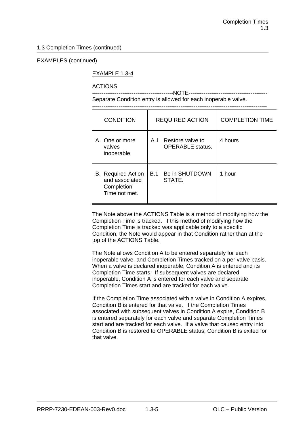## EXAMPLES (continued)

## EXAMPLE 1.3-4

## ACTIONS

-------------------------------------------NOTE------------------------------------------ Separate Condition entry is allowed for each inoperable valve.

---------------------------------------------------------------------------------------------

| <b>CONDITION</b>                                                           | <b>REQUIRED ACTION</b> |                                                 | <b>COMPLETION TIME</b> |
|----------------------------------------------------------------------------|------------------------|-------------------------------------------------|------------------------|
| A. One or more<br>valves<br>inoperable.                                    |                        | A.1 Restore valve to<br><b>OPERABLE</b> status. | 4 hours                |
| <b>B.</b> Required Action<br>and associated<br>Completion<br>Time not met. | <b>B.1</b>             | Be in SHUTDOWN<br>STATE.                        | 1 hour                 |

The Note above the ACTIONS Table is a method of modifying how the Completion Time is tracked. If this method of modifying how the Completion Time is tracked was applicable only to a specific Condition, the Note would appear in that Condition rather than at the top of the ACTIONS Table.

The Note allows Condition A to be entered separately for each inoperable valve, and Completion Times tracked on a per valve basis. When a valve is declared inoperable, Condition A is entered and its Completion Time starts. If subsequent valves are declared inoperable, Condition A is entered for each valve and separate Completion Times start and are tracked for each valve.

If the Completion Time associated with a valve in Condition A expires, Condition B is entered for that valve. If the Completion Times associated with subsequent valves in Condition A expire, Condition B is entered separately for each valve and separate Completion Times start and are tracked for each valve. If a valve that caused entry into Condition B is restored to OPERABLE status, Condition B is exited for that valve.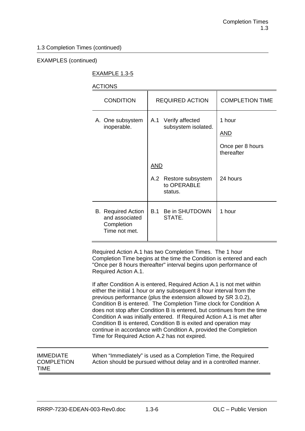## EXAMPLES (continued)

## EXAMPLE 1.3-5

## ACTIONS

| <b>CONDITION</b>                                                                 | <b>REQUIRED ACTION</b>                                           | <b>COMPLETION TIME</b>                                 |
|----------------------------------------------------------------------------------|------------------------------------------------------------------|--------------------------------------------------------|
| Verify affected<br>A. One subsystem<br>A.1<br>subsystem isolated.<br>inoperable. |                                                                  | 1 hour<br><u>AND</u><br>Once per 8 hours<br>thereafter |
|                                                                                  | <b>AND</b><br>Restore subsystem<br>A.2<br>to OPERABLE<br>status. | 24 hours                                               |
| <b>B.</b> Required Action<br>and associated<br>Completion<br>Time not met.       | Be in SHUTDOWN<br>B.1<br>STATE.                                  | 1 hour                                                 |

Required Action A.1 has two Completion Times. The 1 hour Completion Time begins at the time the Condition is entered and each "Once per 8 hours thereafter" interval begins upon performance of Required Action A.1.

If after Condition A is entered, Required Action A.1 is not met within either the initial 1 hour or any subsequent 8 hour interval from the previous performance (plus the extension allowed by SR 3.0.2), Condition B is entered. The Completion Time clock for Condition A does not stop after Condition B is entered, but continues from the time Condition A was initially entered. If Required Action A.1 is met after Condition B is entered, Condition B is exited and operation may continue in accordance with Condition A, provided the Completion Time for Required Action A.2 has not expired.

IMMEDIATE When "Immediately" is used as a Completion Time, the Required COMPLETION Action should be pursued without delay and in a controlled manner. TIME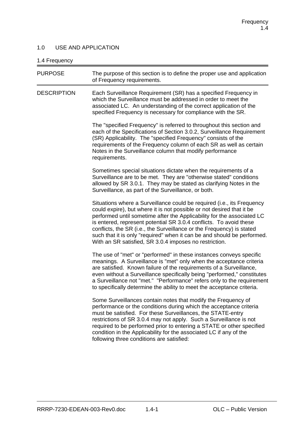## 1.0 USE AND APPLICATION

## 1.4  $Fr$

| 1.4 Frequency      |                                                                                                                                                                                                                                                                                                                                                                                                                                                                                                               |
|--------------------|---------------------------------------------------------------------------------------------------------------------------------------------------------------------------------------------------------------------------------------------------------------------------------------------------------------------------------------------------------------------------------------------------------------------------------------------------------------------------------------------------------------|
| <b>PURPOSE</b>     | The purpose of this section is to define the proper use and application<br>of Frequency requirements.                                                                                                                                                                                                                                                                                                                                                                                                         |
| <b>DESCRIPTION</b> | Each Surveillance Requirement (SR) has a specified Frequency in<br>which the Surveillance must be addressed in order to meet the<br>associated LC. An understanding of the correct application of the<br>specified Frequency is necessary for compliance with the SR.                                                                                                                                                                                                                                         |
|                    | The "specified Frequency" is referred to throughout this section and<br>each of the Specifications of Section 3.0.2, Surveillance Requirement<br>(SR) Applicability. The "specified Frequency" consists of the<br>requirements of the Frequency column of each SR as well as certain<br>Notes in the Surveillance column that modify performance<br>requirements.                                                                                                                                             |
|                    | Sometimes special situations dictate when the requirements of a<br>Surveillance are to be met. They are "otherwise stated" conditions<br>allowed by SR 3.0.1. They may be stated as clarifying Notes in the<br>Surveillance, as part of the Surveillance, or both.                                                                                                                                                                                                                                            |
|                    | Situations where a Surveillance could be required (i.e., its Frequency<br>could expire), but where it is not possible or not desired that it be<br>performed until sometime after the Applicability for the associated LC<br>is entered, represent potential SR 3.0.4 conflicts. To avoid these<br>conflicts, the SR (i.e., the Surveillance or the Frequency) is stated<br>such that it is only "required" when it can be and should be performed.<br>With an SR satisfied, SR 3.0.4 imposes no restriction. |
|                    | The use of "met" or "performed" in these instances conveys specific<br>meanings. A Surveillance is "met" only when the acceptance criteria<br>are satisfied. Known failure of the requirements of a Surveillance,<br>even without a Surveillance specifically being "performed," constitutes<br>a Surveillance not "met." "Performance" refers only to the requirement<br>to specifically determine the ability to meet the acceptance criteria.                                                              |
|                    | Some Surveillances contain notes that modify the Frequency of<br>performance or the conditions during which the acceptance criteria<br>must be satisfied. For these Surveillances, the STATE-entry<br>restrictions of SR 3.0.4 may not apply. Such a Surveillance is not<br>required to be performed prior to entering a STATE or other specified<br>condition in the Applicability for the associated LC if any of the<br>following three conditions are satisfied:                                          |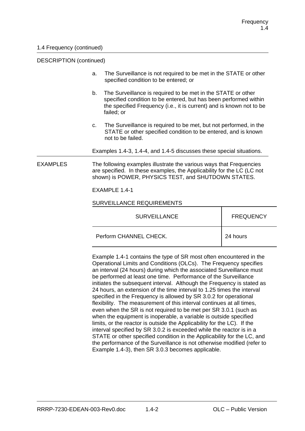#### DESCRIPTION (continued)

ֺ

- a. The Surveillance is not required to be met in the STATE or other specified condition to be entered; or
- b. The Surveillance is required to be met in the STATE or other specified condition to be entered, but has been performed within the specified Frequency (i.e., it is current) and is known not to be failed; or
- c. The Surveillance is required to be met, but not performed, in the STATE or other specified condition to be entered, and is known not to be failed.

Examples 1.4-3, 1.4-4, and 1.4-5 discusses these special situations.

EXAMPLES The following examples illustrate the various ways that Frequencies are specified. In these examples, the Applicability for the LC (LC not shown) is POWER, PHYSICS TEST, and SHUTDOWN STATES.

EXAMPLE 1.4-1

#### SURVEILLANCE REQUIREMENTS

| <b>SURVEILLANCE</b>    | <b>FREQUENCY</b> |
|------------------------|------------------|
| Perform CHANNEL CHECK. | 24 hours         |

Example 1.4-1 contains the type of SR most often encountered in the Operational Limits and Conditions (OLCs). The Frequency specifies an interval (24 hours) during which the associated Surveillance must be performed at least one time. Performance of the Surveillance initiates the subsequent interval. Although the Frequency is stated as 24 hours, an extension of the time interval to 1.25 times the interval specified in the Frequency is allowed by SR 3.0.2 for operational flexibility. The measurement of this interval continues at all times, even when the SR is not required to be met per SR 3.0.1 (such as when the equipment is inoperable, a variable is outside specified limits, or the reactor is outside the Applicability for the LC). If the interval specified by SR 3.0.2 is exceeded while the reactor is in a STATE or other specified condition in the Applicability for the LC, and the performance of the Surveillance is not otherwise modified (refer to Example 1.4-3), then SR 3.0.3 becomes applicable.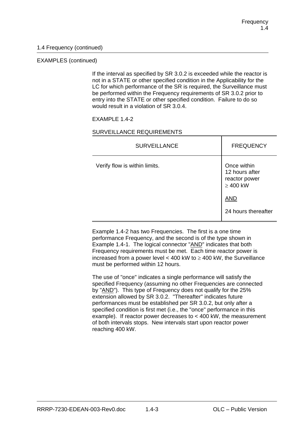### EXAMPLES (continued)

If the interval as specified by SR 3.0.2 is exceeded while the reactor is not in a STATE or other specified condition in the Applicability for the LC for which performance of the SR is required, the Surveillance must be performed within the Frequency requirements of SR 3.0.2 prior to entry into the STATE or other specified condition. Failure to do so would result in a violation of SR 3.0.4.

### EXAMPLE 1.4-2

### SURVEILLANCE REQUIREMENTS

| <b>SURVEILLANCE</b>           | <b>FREQUENCY</b>                                                |
|-------------------------------|-----------------------------------------------------------------|
| Verify flow is within limits. | Once within<br>12 hours after<br>reactor power<br>$\geq 400$ kW |
|                               | <b>AND</b>                                                      |
|                               | 24 hours thereafter                                             |

Example 1.4-2 has two Frequencies. The first is a one time performance Frequency, and the second is of the type shown in Example 1.4-1. The logical connector "AND" indicates that both Frequency requirements must be met. Each time reactor power is increased from a power level < 400 kW to  $\geq$  400 kW, the Surveillance must be performed within 12 hours.

The use of "once" indicates a single performance will satisfy the specified Frequency (assuming no other Frequencies are connected by "AND"). This type of Frequency does not qualify for the 25% extension allowed by SR 3.0.2. "Thereafter" indicates future performances must be established per SR 3.0.2, but only after a specified condition is first met (i.e., the "once" performance in this example). If reactor power decreases to < 400 kW, the measurement of both intervals stops. New intervals start upon reactor power reaching 400 kW.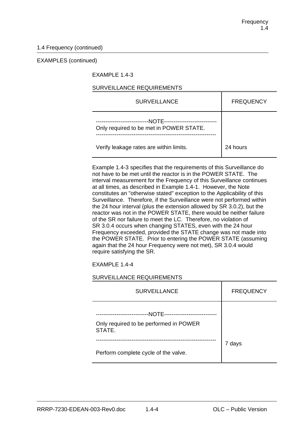#### EXAMPLES (continued)

## EXAMPLE 1.4-3

## SURVEILLANCE REQUIREMENTS

| <b>SURVEILLANCE</b>                                                              | <b>FREQUENCY</b> |
|----------------------------------------------------------------------------------|------------------|
| -NOTE--------<br>--------------------<br>Only required to be met in POWER STATE. |                  |
| Verify leakage rates are within limits.                                          | 24 hours         |

Example 1.4-3 specifies that the requirements of this Surveillance do not have to be met until the reactor is in the POWER STATE. The interval measurement for the Frequency of this Surveillance continues at all times, as described in Example 1.4-1. However, the Note constitutes an "otherwise stated" exception to the Applicability of this Surveillance. Therefore, if the Surveillance were not performed within the 24 hour interval (plus the extension allowed by SR 3.0.2), but the reactor was not in the POWER STATE, there would be neither failure of the SR nor failure to meet the LC. Therefore, no violation of SR 3.0.4 occurs when changing STATES, even with the 24 hour Frequency exceeded, provided the STATE change was not made into the POWER STATE. Prior to entering the POWER STATE (assuming again that the 24 hour Frequency were not met), SR 3.0.4 would require satisfying the SR.

EXAMPLE 1.4-4

### SURVEILLANCE REQUIREMENTS

| <b>SURVEILLANCE</b>                                                                 | <b>FREQUENCY</b> |
|-------------------------------------------------------------------------------------|------------------|
| -NOTE<br>----------------------<br>Only required to be performed in POWER<br>STATE. |                  |
| Perform complete cycle of the valve.                                                | 7 days           |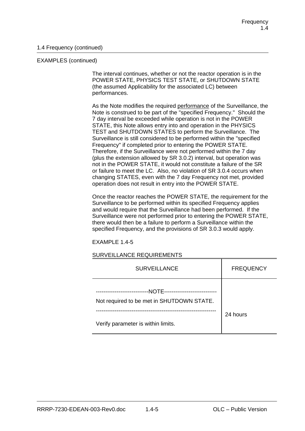#### EXAMPLES (continued)

The interval continues, whether or not the reactor operation is in the POWER STATE, PHYSICS TEST STATE, or SHUTDOWN STATE (the assumed Applicability for the associated LC) between performances.

As the Note modifies the required performance of the Surveillance, the Note is construed to be part of the "specified Frequency." Should the 7 day interval be exceeded while operation is not in the POWER STATE, this Note allows entry into and operation in the PHYSICS TEST and SHUTDOWN STATES to perform the Surveillance. The Surveillance is still considered to be performed within the "specified Frequency" if completed prior to entering the POWER STATE. Therefore, if the Surveillance were not performed within the 7 day (plus the extension allowed by SR 3.0.2) interval, but operation was not in the POWER STATE, it would not constitute a failure of the SR or failure to meet the LC. Also, no violation of SR 3.0.4 occurs when changing STATES, even with the 7 day Frequency not met, provided operation does not result in entry into the POWER STATE.

Once the reactor reaches the POWER STATE, the requirement for the Surveillance to be performed within its specified Frequency applies and would require that the Surveillance had been performed. If the Surveillance were not performed prior to entering the POWER STATE, there would then be a failure to perform a Surveillance within the specified Frequency, and the provisions of SR 3.0.3 would apply.

EXAMPLE 1.4-5

#### SURVEILLANCE REQUIREMENTS

| <b>SURVEILLANCE</b>                                                          | <b>FREQUENCY</b> |
|------------------------------------------------------------------------------|------------------|
| -NOTE-----<br>-----------------<br>Not required to be met in SHUTDOWN STATE. |                  |
| Verify parameter is within limits.                                           | 24 hours         |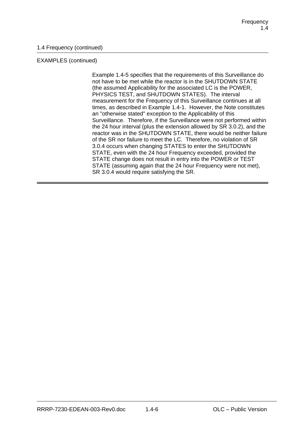## EXAMPLES (continued)

Example 1.4-5 specifies that the requirements of this Surveillance do not have to be met while the reactor is in the SHUTDOWN STATE (the assumed Applicability for the associated LC is the POWER, PHYSICS TEST, and SHUTDOWN STATES). The interval measurement for the Frequency of this Surveillance continues at all times, as described in Example 1.4-1. However, the Note constitutes an "otherwise stated" exception to the Applicability of this Surveillance. Therefore, if the Surveillance were not performed within the 24 hour interval (plus the extension allowed by SR 3.0.2), and the reactor was in the SHUTDOWN STATE, there would be neither failure of the SR nor failure to meet the LC. Therefore, no violation of SR 3.0.4 occurs when changing STATES to enter the SHUTDOWN STATE, even with the 24 hour Frequency exceeded, provided the STATE change does not result in entry into the POWER or TEST STATE (assuming again that the 24 hour Frequency were not met), SR 3.0.4 would require satisfying the SR.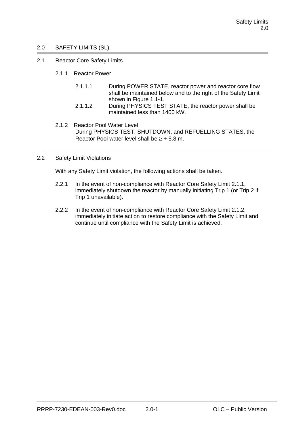## 2.0 SAFETY LIMITS (SL)

- 2.1 Reactor Core Safety Limits
	- 2.1.1 Reactor Power
		- 2.1.1.1 During POWER STATE, reactor power and reactor core flow shall be maintained below and to the right of the Safety Limit shown in Figure 1.1-1.
		- 2.1.1.2 During PHYSICS TEST STATE, the reactor power shall be maintained less than 1400 kW.
	- 2.1.2 Reactor Pool Water Level During PHYSICS TEST, SHUTDOWN, and REFUELLING STATES, the Reactor Pool water level shall be  $> +5.8$  m.

### 2.2 Safety Limit Violations

With any Safety Limit violation, the following actions shall be taken.

- 2.2.1 In the event of non-compliance with Reactor Core Safety Limit 2.1.1, immediately shutdown the reactor by manually initiating Trip 1 (or Trip 2 if Trip 1 unavailable).
- 2.2.2 In the event of non-compliance with Reactor Core Safety Limit 2.1.2, immediately initiate action to restore compliance with the Safety Limit and continue until compliance with the Safety Limit is achieved.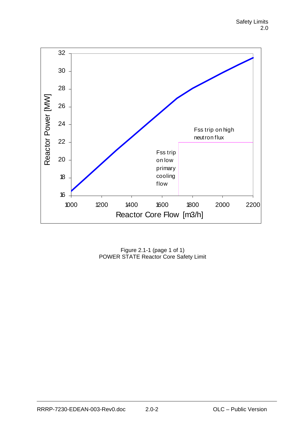

Figure 2.1-1 (page 1 of 1) POWER STATE Reactor Core Safety Limit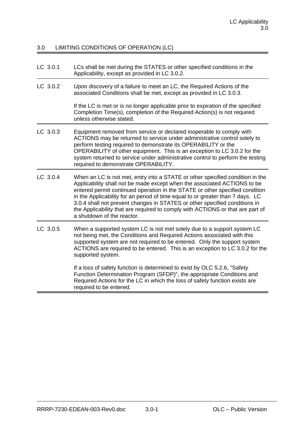## 3.0 LIMITING CONDITIONS OF OPERATION (LC)

| LC 3.0.1 | LCs shall be met during the STATES or other specified conditions in the |
|----------|-------------------------------------------------------------------------|
|          | Applicability, except as provided in LC 3.0.2.                          |

LC 3.0.2 Upon discovery of a failure to meet an LC, the Required Actions of the associated Conditions shall be met, except as provided in LC 3.0.3.

> If the LC is met or is no longer applicable prior to expiration of the specified Completion Time(s), completion of the Required Action(s) is not required unless otherwise stated.

- LC 3.0.3 Equipment removed from service or declared inoperable to comply with ACTIONS may be returned to service under administrative control solely to perform testing required to demonstrate its OPERABILITY or the OPERABILITY of other equipment. This is an exception to LC 3.0.2 for the system returned to service under administrative control to perform the testing required to demonstrate OPERABILITY.
- LC 3.0.4 When an LC is not met, entry into a STATE or other specified condition in the Applicability shall not be made except when the associated ACTIONS to be entered permit continued operation in the STATE or other specified condition in the Applicability for an period of time equal to or greater than 7 days. LC 3.0.4 shall not prevent changes in STATES or other specified conditions in the Applicability that are required to comply with ACTIONS or that are part of a shutdown of the reactor.
- LC 3.0.5 When a supported system LC is not met solely due to a support system LC not being met, the Conditions and Required Actions associated with this supported system are not required to be entered. Only the support system ACTIONS are required to be entered. This is an exception to LC 3.0.2 for the supported system.

If a loss of safety function is determined to exist by OLC 5.2.6, "Safety Function Determination Program (SFDP)", the appropriate Conditions and Required Actions for the LC in which the loss of safety function exists are required to be entered.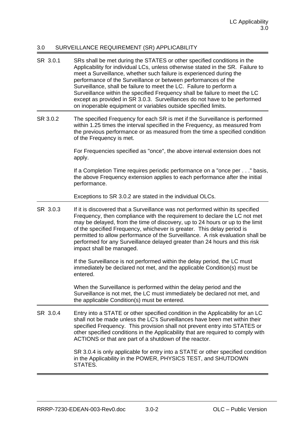## 3.0 SURVEILLANCE REQUIREMENT (SR) APPLICABILITY

- SR 3.0.1 SRs shall be met during the STATES or other specified conditions in the Applicability for individual LCs, unless otherwise stated in the SR. Failure to meet a Surveillance, whether such failure is experienced during the performance of the Surveillance or between performances of the Surveillance, shall be failure to meet the LC. Failure to perform a Surveillance within the specified Frequency shall be failure to meet the LC except as provided in SR 3.0.3. Surveillances do not have to be performed on inoperable equipment or variables outside specified limits.
- SR 3.0.2 The specified Frequency for each SR is met if the Surveillance is performed within 1.25 times the interval specified in the Frequency, as measured from the previous performance or as measured from the time a specified condition of the Frequency is met.

For Frequencies specified as "once", the above interval extension does not apply.

If a Completion Time requires periodic performance on a "once per . . ." basis, the above Frequency extension applies to each performance after the initial performance.

Exceptions to SR 3.0.2 are stated in the individual OLCs.

SR 3.0.3 If it is discovered that a Surveillance was not performed within its specified Frequency, then compliance with the requirement to declare the LC not met may be delayed, from the time of discovery, up to 24 hours or up to the limit of the specified Frequency, whichever is greater. This delay period is permitted to allow performance of the Surveillance. A risk evaluation shall be performed for any Surveillance delayed greater than 24 hours and this risk impact shall be managed.

> If the Surveillance is not performed within the delay period, the LC must immediately be declared not met, and the applicable Condition(s) must be entered.

When the Surveillance is performed within the delay period and the Surveillance is not met, the LC must immediately be declared not met, and the applicable Condition(s) must be entered.

SR 3.0.4 Entry into a STATE or other specified condition in the Applicability for an LC shall not be made unless the LC's Surveillances have been met within their specified Frequency. This provision shall not prevent entry into STATES or other specified conditions in the Applicability that are required to comply with ACTIONS or that are part of a shutdown of the reactor.

> SR 3.0.4 is only applicable for entry into a STATE or other specified condition in the Applicability in the POWER, PHYSICS TEST, and SHUTDOWN STATES.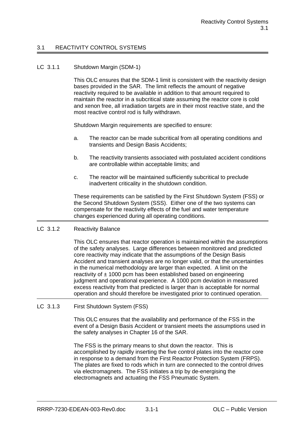## 3.1 REACTIVITY CONTROL SYSTEMS

#### LC 3.1.1 Shutdown Margin (SDM-1)

This OLC ensures that the SDM-1 limit is consistent with the reactivity design bases provided in the SAR. The limit reflects the amount of negative reactivity required to be available in addition to that amount required to maintain the reactor in a subcritical state assuming the reactor core is cold and xenon free, all irradiation targets are in their most reactive state, and the most reactive control rod is fully withdrawn.

Shutdown Margin requirements are specified to ensure:

- a. The reactor can be made subcritical from all operating conditions and transients and Design Basis Accidents;
- b. The reactivity transients associated with postulated accident conditions are controllable within acceptable limits; and
- c. The reactor will be maintained sufficiently subcritical to preclude inadvertent criticality in the shutdown condition.

These requirements can be satisfied by the First Shutdown System (FSS) or the Second Shutdown System (SSS). Either one of the two systems can compensate for the reactivity effects of the fuel and water temperature changes experienced during all operating conditions.

LC 3.1.2 Reactivity Balance

This OLC ensures that reactor operation is maintained within the assumptions of the safety analyses. Large differences between monitored and predicted core reactivity may indicate that the assumptions of the Design Basis Accident and transient analyses are no longer valid, or that the uncertainties in the numerical methodology are larger than expected. A limit on the reactivity of  $\pm$  1000 pcm has been established based on engineering judgment and operational experience. A 1000 pcm deviation in measured excess reactivity from that predicted is larger than is acceptable for normal operation and should therefore be investigated prior to continued operation.

LC 3.1.3 First Shutdown System (FSS)

This OLC ensures that the availability and performance of the FSS in the event of a Design Basis Accident or transient meets the assumptions used in the safety analyses in Chapter 16 of the SAR.

The FSS is the primary means to shut down the reactor. This is accomplished by rapidly inserting the five control plates into the reactor core in response to a demand from the First Reactor Protection System (FRPS). The plates are fixed to rods which in turn are connected to the control drives via electromagnets. The FSS initiates a trip by de-energising the electromagnets and actuating the FSS Pneumatic System.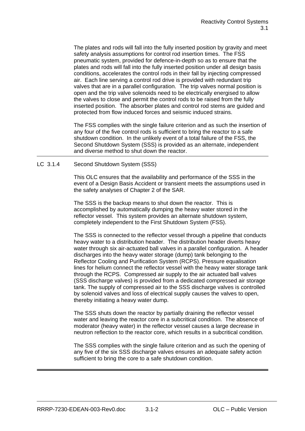The plates and rods will fall into the fully inserted position by gravity and meet safety analysis assumptions for control rod insertion times. The FSS pneumatic system, provided for defence-in-depth so as to ensure that the plates and rods will fall into the fully inserted position under all design basis conditions, accelerates the control rods in their fall by injecting compressed air. Each line serving a control rod drive is provided with redundant trip valves that are in a parallel configuration. The trip valves normal position is open and the trip valve solenoids need to be electrically energised to allow the valves to close and permit the control rods to be raised from the fully inserted position. The absorber plates and control rod stems are guided and protected from flow induced forces and seismic induced strains.

The FSS complies with the single failure criterion and as such the insertion of any four of the five control rods is sufficient to bring the reactor to a safe shutdown condition. In the unlikely event of a total failure of the FSS, the Second Shutdown System (SSS) is provided as an alternate, independent and diverse method to shut down the reactor.

LC 3.1.4 Second Shutdown System (SSS)

This OLC ensures that the availability and performance of the SSS in the event of a Design Basis Accident or transient meets the assumptions used in the safety analyses of Chapter 2 of the SAR.

The SSS is the backup means to shut down the reactor. This is accomplished by automatically dumping the heavy water stored in the reflector vessel. This system provides an alternate shutdown system, completely independent to the First Shutdown System (FSS).

The SSS is connected to the reflector vessel through a pipeline that conducts heavy water to a distribution header. The distribution header diverts heavy water through six air-actuated ball valves in a parallel configuration. A header discharges into the heavy water storage (dump) tank belonging to the Reflector Cooling and Purification System (RCPS). Pressure equalisation lines for helium connect the reflector vessel with the heavy water storage tank through the RCPS. Compressed air supply to the air actuated ball valves (SSS discharge valves) is provided from a dedicated compressed air storage tank. The supply of compressed air to the SSS discharge valves is controlled by solenoid valves and loss of electrical supply causes the valves to open, thereby initiating a heavy water dump.

The SSS shuts down the reactor by partially draining the reflector vessel water and leaving the reactor core in a subcritical condition. The absence of moderator (heavy water) in the reflector vessel causes a large decrease in neutron reflection to the reactor core, which results in a subcritical condition.

The SSS complies with the single failure criterion and as such the opening of any five of the six SSS discharge valves ensures an adequate safety action sufficient to bring the core to a safe shutdown condition.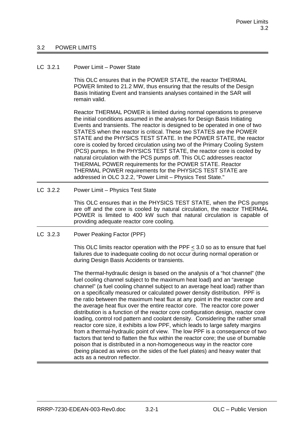#### 3.2 POWER LIMITS

#### LC 3.2.1 Power Limit – Power State

This OLC ensures that in the POWER STATE, the reactor THERMAL POWER limited to 21.2 MW, thus ensuring that the results of the Design Basis Initiating Event and transients analyses contained in the SAR will remain valid.

Reactor THERMAL POWER is limited during normal operations to preserve the initial conditions assumed in the analyses for Design Basis Initiating Events and transients. The reactor is designed to be operated in one of two STATES when the reactor is critical. These two STATES are the POWER STATE and the PHYSICS TEST STATE. In the POWER STATE, the reactor core is cooled by forced circulation using two of the Primary Cooling System (PCS) pumps. In the PHYSICS TEST STATE, the reactor core is cooled by natural circulation with the PCS pumps off. This OLC addresses reactor THERMAL POWER requirements for the POWER STATE. Reactor THERMAL POWER requirements for the PHYSICS TEST STATE are addressed in OLC 3.2.2, "Power Limit – Physics Test State."

#### LC 3.2.2 Power Limit – Physics Test State

This OLC ensures that in the PHYSICS TEST STATE, when the PCS pumps are off and the core is cooled by natural circulation, the reactor THERMAL POWER is limited to 400 kW such that natural circulation is capable of providing adequate reactor core cooling.

#### LC 3.2.3 Power Peaking Factor (PPF)

This OLC limits reactor operation with the PPF  $\leq$  3.0 so as to ensure that fuel failures due to inadequate cooling do not occur during normal operation or during Design Basis Accidents or transients.

The thermal-hydraulic design is based on the analysis of a "hot channel" (the fuel cooling channel subject to the maximum heat load) and an "average channel" (a fuel cooling channel subject to an average heat load) rather than on a specifically measured or calculated power density distribution. PPF is the ratio between the maximum heat flux at any point in the reactor core and the average heat flux over the entire reactor core. The reactor core power distribution is a function of the reactor core configuration design, reactor core loading, control rod pattern and coolant density. Considering the rather small reactor core size, it exhibits a low PPF, which leads to large safety margins from a thermal-hydraulic point of view. The low PPF is a consequence of two factors that tend to flatten the flux within the reactor core; the use of burnable poison that is distributed in a non-homogeneous way in the reactor core (being placed as wires on the sides of the fuel plates) and heavy water that acts as a neutron reflector.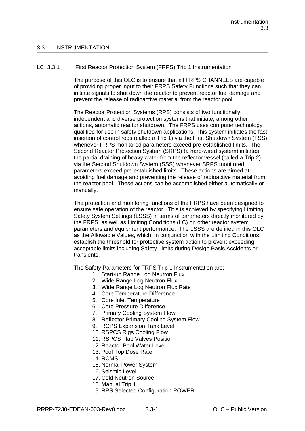#### 3.3 INSTRUMENTATION

### LC 3.3.1 First Reactor Protection System (FRPS) Trip 1 Instrumentation

The purpose of this OLC is to ensure that all FRPS CHANNELS are capable of providing proper input to their FRPS Safety Functions such that they can initiate signals to shut down the reactor to prevent reactor fuel damage and prevent the release of radioactive material from the reactor pool.

The Reactor Protection Systems (RPS) consists of two functionally independent and diverse protection systems that initiate, among other actions, automatic reactor shutdown. The FRPS uses computer technology qualified for use in safety shutdown applications. This system initiates the fast insertion of control rods (called a Trip 1) via the First Shutdown System (FSS) whenever FRPS monitored parameters exceed pre-established limits. The Second Reactor Protection System (SRPS) (a hard-wired system) initiates the partial draining of heavy water from the reflector vessel (called a Trip 2) via the Second Shutdown System (SSS) whenever SRPS monitored parameters exceed pre-established limits. These actions are aimed at avoiding fuel damage and preventing the release of radioactive material from the reactor pool. These actions can be accomplished either automatically or manually.

The protection and monitoring functions of the FRPS have been designed to ensure safe operation of the reactor. This is achieved by specifying Limiting Safety System Settings (LSSS) in terms of parameters directly monitored by the FRPS, as well as Limiting Conditions (LC) on other reactor system parameters and equipment performance. The LSSS are defined in this OLC as the Allowable Values, which, in conjunction with the Limiting Conditions, establish the threshold for protective system action to prevent exceeding acceptable limits including Safety Limits during Design Basis Accidents or transients.

The Safety Parameters for FRPS Trip 1 Instrumentation are:

- 1. Start-up Range Log Neutron Flux
- 2. Wide Range Log Neutron Flux
- 3. Wide Range Log Neutron Flux Rate
- 4. Core Temperature Difference
- 5. Core Inlet Temperature
- 6. Core Pressure Difference
- 7. Primary Cooling System Flow
- 8. Reflector Primary Cooling System Flow
- 9. RCPS Expansion Tank Level
- 10. RSPCS Rigs Cooling Flow
- 11. RSPCS Flap Valves Position
- 12. Reactor Pool Water Level
- 13. Pool Top Dose Rate
- 14. RCMS
- 15. Normal Power System
- 16. Seismic Level
- 17. Cold Neutron Source
- 18. Manual Trip 1
- 19. RPS Selected Configuration POWER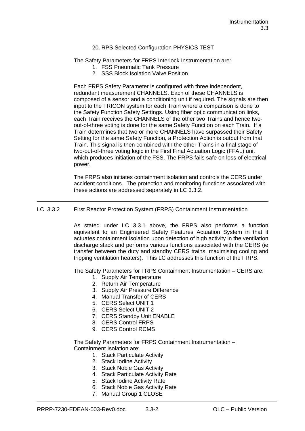#### 20. RPS Selected Configuration PHYSICS TEST

The Safety Parameters for FRPS Interlock Instrumentation are:

- 1. FSS Pneumatic Tank Pressure
- 2. SSS Block Isolation Valve Position

Each FRPS Safety Parameter is configured with three independent, redundant measurement CHANNELS. Each of these CHANNELS is composed of a sensor and a conditioning unit if required. The signals are then input to the TRICON system for each Train where a comparison is done to the Safety Function Safety Settings. Using fiber optic communication links, each Train receives the CHANNELS of the other two Trains and hence twoout-of-three voting is done for the same Safety Function on each Train. If a Train determines that two or more CHANNELS have surpassed their Safety Setting for the same Safety Function, a Protection Action is output from that Train. This signal is then combined with the other Trains in a final stage of two-out-of-three voting logic in the First Final Actuation Logic (FFAL) unit which produces initiation of the FSS. The FRPS fails safe on loss of electrical power.

The FRPS also initiates containment isolation and controls the CERS under accident conditions. The protection and monitoring functions associated with these actions are addressed separately in LC 3.3.2.

#### LC 3.3.2 First Reactor Protection System (FRPS) Containment Instrumentation

As stated under LC 3.3.1 above, the FRPS also performs a function equivalent to an Engineered Safety Features Actuation System in that it actuates containment isolation upon detection of high activity in the ventilation discharge stack and performs various functions associated with the CERS (ie transfer between the duty and standby CERS trains, maximising cooling and tripping ventilation heaters). This LC addresses this function of the FRPS.

The Safety Parameters for FRPS Containment Instrumentation – CERS are:

- 1. Supply Air Temperature
- 2. Return Air Temperature
- 3. Supply Air Pressure Difference
- 4. Manual Transfer of CERS
- 5. CERS Select UNIT 1
- 6. CERS Select UNIT 2
- 7. CERS Standby Unit ENABLE
- 8. CERS Control FRPS
- 9. CERS Control RCMS

The Safety Parameters for FRPS Containment Instrumentation – Containment Isolation are:

- 1. Stack Particulate Activity
- 2. Stack Iodine Activity
- 3. Stack Noble Gas Activity
- 4. Stack Particulate Activity Rate
- 5. Stack Iodine Activity Rate
- 6. Stack Noble Gas Activity Rate
- 7. Manual Group 1 CLOSE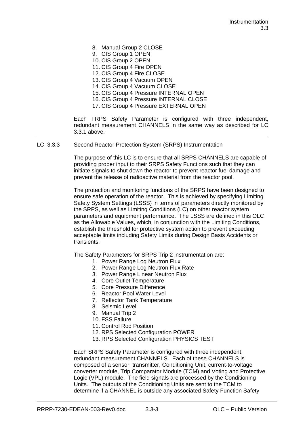- 8. Manual Group 2 CLOSE
- 9. CIS Group 1 OPEN
- 10. CIS Group 2 OPEN
- 11. CIS Group 4 Fire OPEN
- 12. CIS Group 4 Fire CLOSE
- 13. CIS Group 4 Vacuum OPEN
- 14. CIS Group 4 Vacuum CLOSE
- 15. CIS Group 4 Pressure INTERNAL OPEN
- 16. CIS Group 4 Pressure INTERNAL CLOSE
- 17. CIS Group 4 Pressure EXTERNAL OPEN

Each FRPS Safety Parameter is configured with three independent, redundant measurement CHANNELS in the same way as described for LC 3.3.1 above.

LC 3.3.3 Second Reactor Protection System (SRPS) Instrumentation

The purpose of this LC is to ensure that all SRPS CHANNELS are capable of providing proper input to their SRPS Safety Functions such that they can initiate signals to shut down the reactor to prevent reactor fuel damage and prevent the release of radioactive material from the reactor pool.

The protection and monitoring functions of the SRPS have been designed to ensure safe operation of the reactor. This is achieved by specifying Limiting Safety System Settings (LSSS) in terms of parameters directly monitored by the SRPS, as well as Limiting Conditions (LC) on other reactor system parameters and equipment performance. The LSSS are defined in this OLC as the Allowable Values, which, in conjunction with the Limiting Conditions, establish the threshold for protective system action to prevent exceeding acceptable limits including Safety Limits during Design Basis Accidents or transients.

The Safety Parameters for SRPS Trip 2 instrumentation are:

- 1. Power Range Log Neutron Flux
- 2. Power Range Log Neutron Flux Rate
- 3. Power Range Linear Neutron Flux
- 4. Core Outlet Temperature
- 5. Core Pressure Difference
- 6. Reactor Pool Water Level
- 7. Reflector Tank Temperature
- 8. Seismic Level
- 9. Manual Trip 2
- 10. FSS Failure
- 11. Control Rod Position
- 12. RPS Selected Configuration POWER
- 13. RPS Selected Configuration PHYSICS TEST

Each SRPS Safety Parameter is configured with three independent, redundant measurement CHANNELS. Each of these CHANNELS is composed of a sensor, transmitter, Conditioning Unit, current-to-voltage converter module, Trip Comparator Module (TCM) and Voting and Protective Logic (VPL) module. The field signals are processed by the Conditioning Units. The outputs of the Conditioning Units are sent to the TCM to determine if a CHANNEL is outside any associated Safety Function Safety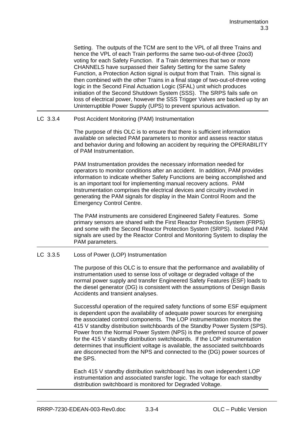Setting. The outputs of the TCM are sent to the VPL of all three Trains and hence the VPL of each Train performs the same two-out-of-three (2oo3) voting for each Safety Function. If a Train determines that two or more CHANNELS have surpassed their Safety Setting for the same Safety Function, a Protection Action signal is output from that Train. This signal is then combined with the other Trains in a final stage of two-out-of-three voting logic in the Second Final Actuation Logic (SFAL) unit which produces initiation of the Second Shutdown System (SSS). The SRPS fails safe on loss of electrical power, however the SSS Trigger Valves are backed up by an Uninterruptible Power Supply (UPS) to prevent spurious activation.

LC 3.3.4 Post Accident Monitoring (PAM) Instrumentation

The purpose of this OLC is to ensure that there is sufficient information available on selected PAM parameters to monitor and assess reactor status and behavior during and following an accident by requiring the OPERABILITY of PAM Instrumentation.

PAM Instrumentation provides the necessary information needed for operators to monitor conditions after an accident. In addition, PAM provides information to indicate whether Safety Functions are being accomplished and is an important tool for implementing manual recovery actions. PAM Instrumentation comprises the electrical devices and circuitry involved in generating the PAM signals for display in the Main Control Room and the Emergency Control Centre.

The PAM instruments are considered Engineered Safety Features. Some primary sensors are shared with the First Reactor Protection System (FRPS) and some with the Second Reactor Protection System (SRPS). Isolated PAM signals are used by the Reactor Control and Monitoring System to display the PAM parameters.

## LC 3.3.5 Loss of Power (LOP) Instrumentation

The purpose of this OLC is to ensure that the performance and availability of instrumentation used to sense loss of voltage or degraded voltage of the normal power supply and transfer Engineered Safety Features (ESF) loads to the diesel generator (DG) is consistent with the assumptions of Design Basis Accidents and transient analyses.

Successful operation of the required safety functions of some ESF equipment is dependent upon the availability of adequate power sources for energising the associated control components. The LOP instrumentation monitors the 415 V standby distribution switchboards of the Standby Power System (SPS). Power from the Normal Power System (NPS) is the preferred source of power for the 415 V standby distribution switchboards. If the LOP instrumentation determines that insufficient voltage is available, the associated switchboards are disconnected from the NPS and connected to the (DG) power sources of the SPS.

Each 415 V standby distribution switchboard has its own independent LOP instrumentation and associated transfer logic. The voltage for each standby distribution switchboard is monitored for Degraded Voltage.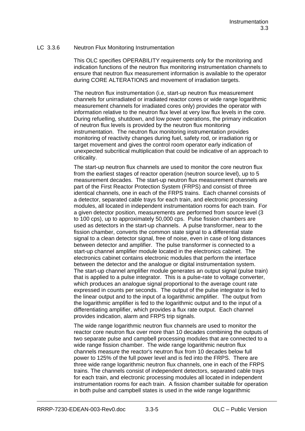### LC 3.3.6 Neutron Flux Monitoring Instrumentation

This OLC specifies OPERABILITY requirements only for the monitoring and indication functions of the neutron flux monitoring instrumentation channels to ensure that neutron flux measurement information is available to the operator during CORE ALTERATIONS and movement of irradiation targets.

The neutron flux instrumentation (i.e, start-up neutron flux measurement channels for unirradiated or irradiated reactor cores or wide range logarithmic measurement channels for irradiated cores only) provides the operator with information relative to the neutron flux level at very low flux levels in the core. During refuelling, shutdown, and low power operations, the primary indication of neutron flux levels is provided by the neutron flux monitoring instrumentation. The neutron flux monitoring instrumentation provides monitoring of reactivity changes during fuel, safety rod, or irradiation rig or target movement and gives the control room operator early indication of unexpected subcritical multiplication that could be indicative of an approach to criticality.

The start-up neutron flux channels are used to monitor the core neutron flux from the earliest stages of reactor operation (neutron source level), up to 5 measurement decades. The start-up neutron flux measurement channels are part of the First Reactor Protection System (FRPS) and consist of three identical channels, one in each of the FRPS trains. Each channel consists of a detector, separated cable trays for each train, and electronic processing modules, all located in independent instrumentation rooms for each train. For a given detector position, measurements are performed from source level (3 to 100 cps), up to approximately 50,000 cps. Pulse fission chambers are used as detectors in the start-up channels. A pulse transformer, near to the fission chamber, converts the common state signal to a differential state signal to a clean detector signal, free of noise, even in case of long distances between detector and amplifier. The pulse transformer is connected to a start-up channel amplifier module located in the electronics cabinet. The electronics cabinet contains electronic modules that perform the interface between the detector and the analogue or digital instrumentation system. The start-up channel amplifier module generates an output signal (pulse train) that is applied to a pulse integrator. This is a pulse-rate to voltage converter, which produces an analogue signal proportional to the average count rate expressed in counts per seconds. The output of the pulse integrator is fed to the linear output and to the input of a logarithmic amplifier. The output from the logarithmic amplifier is fed to the logarithmic output and to the input of a differentiating amplifier, which provides a flux rate output. Each channel provides indication, alarm and FRPS trip signals.

The wide range logarithmic neutron flux channels are used to monitor the reactor core neutron flux over more than 10 decades combining the outputs of two separate pulse and campbell processing modules that are connected to a wide range fission chamber. The wide range logarithmic neutron flux channels measure the reactor's neutron flux from 10 decades below full power to 125% of the full power level and is fed into the FRPS. There are three wide range logarithmic neutron flux channels, one in each of the FRPS trains. The channels consist of independent detectors, separated cable trays for each train, and electronic processing modules all located in independent instrumentation rooms for each train. A fission chamber suitable for operation in both pulse and campbell states is used in the wide range logarithmic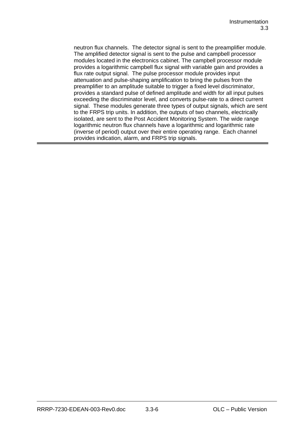neutron flux channels. The detector signal is sent to the preamplifier module. The amplified detector signal is sent to the pulse and campbell processor modules located in the electronics cabinet. The campbell processor module provides a logarithmic campbell flux signal with variable gain and provides a flux rate output signal. The pulse processor module provides input attenuation and pulse-shaping amplification to bring the pulses from the preamplifier to an amplitude suitable to trigger a fixed level discriminator, provides a standard pulse of defined amplitude and width for all input pulses exceeding the discriminator level, and converts pulse-rate to a direct current signal. These modules generate three types of output signals, which are sent to the FRPS trip units. In addition, the outputs of two channels, electrically isolated, are sent to the Post Accident Monitoring System. The wide range logarithmic neutron flux channels have a logarithmic and logarithmic rate (inverse of period) output over their entire operating range. Each channel provides indication, alarm, and FRPS trip signals.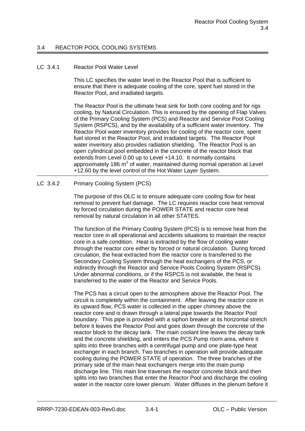## 3.4 REACTOR POOL COOLING SYSTEMS

#### LC 3.4.1 Reactor Pool Water Level

This LC specifies the water level in the Reactor Pool that is sufficient to ensure that there is adequate cooling of the core, spent fuel stored in the Reactor Pool, and irradiated targets.

The Reactor Pool is the ultimate heat sink for both core cooling and for rigs cooling, by Natural Circulation. This is ensured by the opening of Flap Valves of the Primary Cooling System (PCS) and Reactor and Service Pool Cooling System (RSPCS), and by the availability of a sufficient water inventory. The Reactor Pool water inventory provides for cooling of the reactor core, spent fuel stored in the Reactor Pool, and irradiated targets. The Reactor Pool water inventory also provides radiation shielding. The Reactor Pool is an open cylindrical pool embedded in the concrete of the reactor block that extends from Level 0.00 up to Level +14.10. It normally contains approximately 186 m<sup>3</sup> of water, maintained during normal operation at Level +12.60 by the level control of the Hot Water Layer System.

### LC 3.4.2 Primary Cooling System (PCS)

The purpose of this OLC is to ensure adequate core cooling flow for heat removal to prevent fuel damage. The LC requires reactor core heat removal by forced circulation during the POWER STATE and reactor core heat removal by natural circulation in all other STATES.

The function of the Primary Cooling System (PCS) is to remove heat from the reactor core in all operational and accidents situations to maintain the reactor core in a safe condition. Heat is extracted by the flow of cooling water through the reactor core either by forced or natural circulation. During forced circulation, the heat extracted from the reactor core is transferred to the Secondary Cooling System through the heat exchangers of the PCS, or indirectly through the Reactor and Service Pools Cooling System (RSPCS). Under abnormal conditions, or if the RSPCS is not available, the heat is transferred to the water of the Reactor and Service Pools.

The PCS has a circuit open to the atmosphere above the Reactor Pool. The circuit is completely within the containment. After leaving the reactor core in its upward flow, PCS water is collected in the upper chimney above the reactor core and is drawn through a lateral pipe towards the Reactor Pool boundary. This pipe is provided with a siphon breaker at its horizontal stretch before it leaves the Reactor Pool and goes down through the concrete of the reactor block to the decay tank. The main coolant line leaves the decay tank and the concrete shielding, and enters the PCS Pump room area, where it splits into three branches with a centrifugal pump and one plate-type heat exchanger in each branch. Two branches in operation will provide adequate cooling during the POWER STATE of operation. The three branches of the primary side of the main heat exchangers merge into the main pump discharge line. This main line traverses the reactor concrete block and then splits into two branches that enter the Reactor Pool and discharge the cooling water in the reactor core lower plenum. Water diffuses in the plenum before it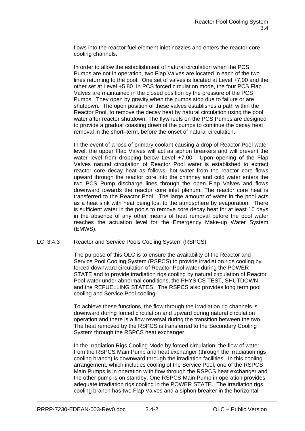flows into the reactor fuel element inlet nozzles and enters the reactor core cooling channels.

In order to allow the establishment of natural circulation when the PCS Pumps are not in operation, two Flap Valves are located in each of the two lines returning to the pool. One set of valves is located at Level +7.00 and the other set at Level +5.80. In PCS forced circulation mode, the four PCS Flap Valves are maintained in the closed position by the pressure of the PCS Pumps. They open by gravity when the pumps stop due to failure or are shutdown. The open position of these valves establishes a path within the Reactor Pool, to remove the decay heat by natural circulation using the pool water after reactor shutdown. The flywheels on the PCS Pumps are designed to provide a gradual coasting down of the pumps to continue the decay heat removal in the short–term, before the onset of natural circulation.

In the event of a loss of primary coolant causing a drop of Reactor Pool water level, the upper Flap Valves will act as siphon breakers and will prevent the water level from dropping below Level +7.00. Upon opening of the Flap Valves natural circulation of Reactor Pool water is established to extract reactor core decay heat as follows: hot water from the reactor core flows upward through the reactor core into the chimney and cold water enters the two PCS Pump discharge lines through the open Flap Valves and flows downward towards the reactor core inlet plenum. The reactor core heat is transferred to the Reactor Pool. The large amount of water in the pool acts as a heat sink with heat being lost to the atmosphere by evaporation. There is sufficient water in the pools to remove core decay heat for at least 10 days in the absence of any other means of heat removal before the pool water reaches the actuation level for the Emergency Make-up Water System (EMWS).

LC 3.4.3 Reactor and Service Pools Cooling System (RSPCS)

The purpose of this OLC is to ensure the availability of the Reactor and Service Pool Cooling System (RSPCS) to provide irradiation rigs cooling by forced downward circulation of Reactor Pool water during the POWER STATE and to provide irradiation rigs cooling by natural circulation of Reactor Pool water under abnormal conditions, the PHYSICS TEST, SHUTDOWN and the REFUELLING STATES. The RSPCS also provides long term pool cooling and Service Pool cooling.

To achieve these functions, the flow through the irradiation rig channels is downward during forced circulation and upward during natural circulation operation and there is a flow reversal during the transition between the two. The heat removed by the RSPCS is transferred to the Secondary Cooling System through the RSPCS heat exchanger.

In the irradiation Rigs Cooling Mode by forced circulation, the flow of water from the RSPCS Main Pump and heat exchanger (through the irradiation rigs cooling branch) is downward through the irradiation facilities. In this cooling arrangement, which includes cooling of the Service Pool, one of the RSPCS Main Pumps is in operation with flow through the RSPCS heat exchanger and the other pump is on standby. One RSPCS Main Pump in operation provides adequate irradiation rigs cooling in the POWER STATE. The irradiation rigs cooling branch has two Flap Valves and a siphon breaker in the horizontal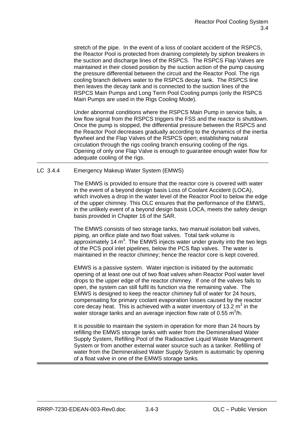stretch of the pipe. In the event of a loss of coolant accident of the RSPCS, the Reactor Pool is protected from draining completely by siphon breakers in the suction and discharge lines of the RSPCS. The RSPCS Flap Valves are maintained in their closed position by the suction action of the pump causing the pressure differential between the circuit and the Reactor Pool. The rigs cooling branch delivers water to the RSPCS decay tank. The RSPCS line then leaves the decay tank and is connected to the suction lines of the RSPCS Main Pumps and Long Term Pool Cooling pumps (only the RSPCS Main Pumps are used in the Rigs Cooling Mode).

Under abnormal conditions where the RSPCS Main Pump in service fails, a low flow signal from the RSPCS triggers the FSS and the reactor is shutdown. Once the pump is stopped, the differential pressure between the RSPCS and the Reactor Pool decreases gradually according to the dynamics of the inertia flywheel and the Flap Valves of the RSPCS open; establishing natural circulation through the rigs cooling branch ensuring cooling of the rigs. Opening of only one Flap Valve is enough to guarantee enough water flow for adequate cooling of the rigs.

## LC 3.4.4 Emergency Makeup Water System (EMWS)

The EMWS is provided to ensure that the reactor core is covered with water in the event of a beyond design basis Loss of Coolant Accident (LOCA), which involves a drop in the water level of the Reactor Pool to below the edge of the upper chimney. This OLC ensures that the performance of the EMWS, in the unlikely event of a beyond design basis LOCA, meets the safety design basis provided in Chapter 16 of the SAR.

The EMWS consists of two storage tanks, two manual isolation ball valves, piping, an orifice plate and two float valves. Total tank volume is approximately 14  $m^3$ . The EMWS injects water under gravity into the two legs of the PCS pool inlet pipelines, below the PCS flap valves. The water is maintained in the reactor chimney; hence the reactor core is kept covered.

EMWS is a passive system. Water injection is initiated by the automatic opening of at least one out of two float valves when Reactor Pool water level drops to the upper edge of the reactor chimney. If one of the valves fails to open, the system can still fulfil its function via the remaining valve. The EMWS is designed to keep the reactor chimney full of water for 24 hours, compensating for primary coolant evaporation losses caused by the reactor core decay heat. This is achieved with a water inventory of 13.2  $m<sup>3</sup>$  in the water storage tanks and an average injection flow rate of 0.55 m<sup>3</sup>/h.

It is possible to maintain the system in operation for more than 24 hours by refilling the EMWS storage tanks with water from the Demineralised Water Supply System, Refilling Pool of the Radioactive Liquid Waste Management System or from another external water source such as a tanker. Refilling of water from the Demineralised Water Supply System is automatic by opening of a float valve in one of the EMWS storage tanks.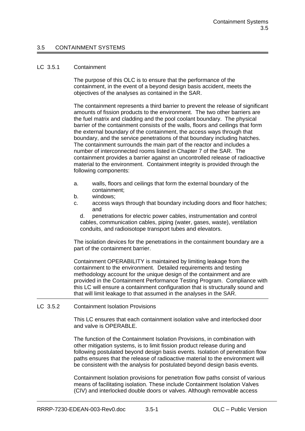#### 3.5 CONTAINMENT SYSTEMS

#### LC 3.5.1 Containment

The purpose of this OLC is to ensure that the performance of the containment, in the event of a beyond design basis accident, meets the objectives of the analyses as contained in the SAR.

The containment represents a third barrier to prevent the release of significant amounts of fission products to the environment. The two other barriers are the fuel matrix and cladding and the pool coolant boundary. The physical barrier of the containment consists of the walls, floors and ceilings that form the external boundary of the containment, the access ways through that boundary, and the service penetrations of that boundary including hatches. The containment surrounds the main part of the reactor and includes a number of interconnected rooms listed in Chapter 7 of the SAR. The containment provides a barrier against an uncontrolled release of radioactive material to the environment. Containment integrity is provided through the following components:

- a. walls, floors and ceilings that form the external boundary of the containment;
- b. windows;
- c. access ways through that boundary including doors and floor hatches; and

d. penetrations for electric power cables, instrumentation and control cables, communication cables, piping (water, gases, waste), ventilation conduits, and radioisotope transport tubes and elevators.

The isolation devices for the penetrations in the containment boundary are a part of the containment barrier.

Containment OPERABILITY is maintained by limiting leakage from the containment to the environment. Detailed requirements and testing methodology account for the unique design of the containment and are provided in the Containment Performance Testing Program. Compliance with this LC will ensure a containment configuration that is structurally sound and that will limit leakage to that assumed in the analyses in the SAR.

LC 3.5.2 Containment Isolation Provisions

This LC ensures that each containment isolation valve and interlocked door and valve is OPERABLE.

The function of the Containment Isolation Provisions, in combination with other mitigation systems, is to limit fission product release during and following postulated beyond design basis events. Isolation of penetration flow paths ensures that the release of radioactive material to the environment will be consistent with the analysis for postulated beyond design basis events.

Containment Isolation provisions for penetration flow paths consist of various means of facilitating isolation. These include Containment Isolation Valves (CIV) and interlocked double doors or valves. Although removable access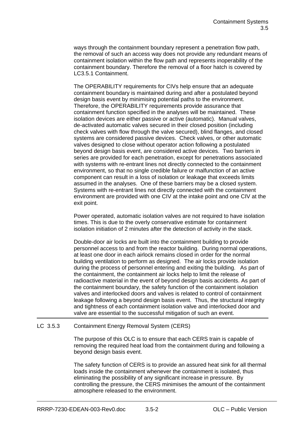ways through the containment boundary represent a penetration flow path, the removal of such an access way does not provide any redundant means of containment isolation within the flow path and represents inoperability of the containment boundary. Therefore the removal of a floor hatch is covered by LC3.5.1 Containment.

The OPERABILITY requirements for CIVs help ensure that an adequate containment boundary is maintained during and after a postulated beyond design basis event by minimising potential paths to the environment. Therefore, the OPERABILITY requirements provide assurance that containment function specified in the analyses will be maintained. These isolation devices are either passive or active (automatic). Manual valves, de-activated automatic valves secured in their closed position (including check valves with flow through the valve secured), blind flanges, and closed systems are considered passive devices. Check valves, or other automatic valves designed to close without operator action following a postulated beyond design basis event, are considered active devices. Two barriers in series are provided for each penetration, except for penetrations associated with systems with re-entrant lines not directly connected to the containment environment, so that no single credible failure or malfunction of an active component can result in a loss of isolation or leakage that exceeds limits assumed in the analyses. One of these barriers may be a closed system. Systems with re-entrant lines not directly connected with the containment environment are provided with one CIV at the intake point and one CIV at the exit point.

Power operated, automatic isolation valves are not required to have isolation times. This is due to the overly conservative estimate for containment isolation initiation of 2 minutes after the detection of activity in the stack.

Double-door air locks are built into the containment building to provide personnel access to and from the reactor building. During normal operations, at least one door in each airlock remains closed in order for the normal building ventilation to perform as designed. The air locks provide isolation during the process of personnel entering and exiting the building. As part of the containment, the containment air locks help to limit the release of radioactive material in the event of beyond design basis accidents. As part of the containment boundary, the safety function of the containment isolation valves and interlocked doors and valves is related to control of containment leakage following a beyond design basis event. Thus, the structural integrity and tightness of each containment isolation valve and interlocked door and valve are essential to the successful mitigation of such an event.

### LC 3.5.3 Containment Energy Removal System (CERS)

The purpose of this OLC is to ensure that each CERS train is capable of removing the required heat load from the containment during and following a beyond design basis event.

The safety function of CERS is to provide an assured heat sink for all thermal loads inside the containment whenever the containment is isolated, thus eliminating the possibility of any significant increase in pressure. By controlling the pressure, the CERS minimises the amount of the containment atmosphere released to the environment.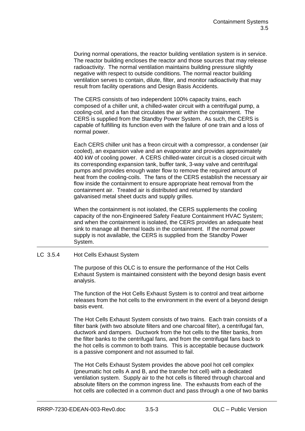During normal operations, the reactor building ventilation system is in service. The reactor building encloses the reactor and those sources that may release radioactivity. The normal ventilation maintains building pressure slightly negative with respect to outside conditions. The normal reactor building ventilation serves to contain, dilute, filter, and monitor radioactivity that may result from facility operations and Design Basis Accidents.

The CERS consists of two independent 100% capacity trains, each composed of a chiller unit, a chilled-water circuit with a centrifugal pump, a cooling-coil, and a fan that circulates the air within the containment. The CERS is supplied from the Standby Power System. As such, the CERS is capable of fulfilling its function even with the failure of one train and a loss of normal power.

Each CERS chiller unit has a freon circuit with a compressor, a condenser (air cooled), an expansion valve and an evaporator and provides approximately 400 kW of cooling power. A CERS chilled-water circuit is a closed circuit with its corresponding expansion tank, buffer tank, 3-way valve and centrifugal pumps and provides enough water flow to remove the required amount of heat from the cooling-coils. The fans of the CERS establish the necessary air flow inside the containment to ensure appropriate heat removal from the containment air. Treated air is distributed and returned by standard galvanised metal sheet ducts and supply grilles.

When the containment is not isolated, the CERS supplements the cooling capacity of the non-Engineered Safety Feature Containment HVAC System; and when the containment is isolated, the CERS provides an adequate heat sink to manage all thermal loads in the containment. If the normal power supply is not available, the CERS is supplied from the Standby Power System.

#### LC 3.5.4 Hot Cells Exhaust System

The purpose of this OLC is to ensure the performance of the Hot Cells Exhaust System is maintained consistent with the beyond design basis event analysis.

The function of the Hot Cells Exhaust System is to control and treat airborne releases from the hot cells to the environment in the event of a beyond design basis event.

The Hot Cells Exhaust System consists of two trains. Each train consists of a filter bank (with two absolute filters and one charcoal filter), a centrifugal fan, ductwork and dampers. Ductwork from the hot cells to the filter banks, from the filter banks to the centrifugal fans, and from the centrifugal fans back to the hot cells is common to both trains. This is acceptable because ductwork is a passive component and not assumed to fail.

The Hot Cells Exhaust System provides the above pool hot cell complex (pneumatic hot cells A and B, and the transfer hot cell) with a dedicated ventilation system. Supply air to the hot cells is filtered through charcoal and absolute filters on the common ingress line. The exhausts from each of the hot cells are collected in a common duct and pass through a one of two banks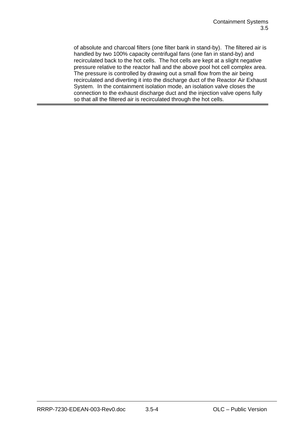of absolute and charcoal filters (one filter bank in stand-by). The filtered air is handled by two 100% capacity centrifugal fans (one fan in stand-by) and recirculated back to the hot cells. The hot cells are kept at a slight negative pressure relative to the reactor hall and the above pool hot cell complex area. The pressure is controlled by drawing out a small flow from the air being recirculated and diverting it into the discharge duct of the Reactor Air Exhaust System. In the containment isolation mode, an isolation valve closes the connection to the exhaust discharge duct and the injection valve opens fully so that all the filtered air is recirculated through the hot cells.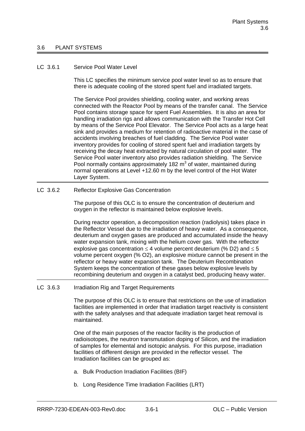#### 3.6 PLANT SYSTEMS

#### LC 3.6.1 Service Pool Water Level

This LC specifies the minimum service pool water level so as to ensure that there is adequate cooling of the stored spent fuel and irradiated targets.

The Service Pool provides shielding, cooling water, and working areas connected with the Reactor Pool by means of the transfer canal. The Service Pool contains storage space for spent Fuel Assemblies. It is also an area for handling irradiation rigs and allows communication with the Transfer Hot Cell by means of the Service Pool Elevator. The Service Pool acts as a large heat sink and provides a medium for retention of radioactive material in the case of accidents involving breaches of fuel cladding. The Service Pool water inventory provides for cooling of stored spent fuel and irradiation targets by receiving the decay heat extracted by natural circulation of pool water. The Service Pool water inventory also provides radiation shielding. The Service Pool normally contains approximately 182  $m<sup>3</sup>$  of water, maintained during normal operations at Level +12.60 m by the level control of the Hot Water Layer System.

LC 3.6.2 Reflector Explosive Gas Concentration

The purpose of this OLC is to ensure the concentration of deuterium and oxygen in the reflector is maintained below explosive levels.

During reactor operation, a decomposition reaction (radiolysis) takes place in the Reflector Vessel due to the irradiation of heavy water. As a consequence, deuterium and oxygen gases are produced and accumulated inside the heavy water expansion tank, mixing with the helium cover gas. With the reflector explosive gas concentration  $\leq$  4 volume percent deuterium (% D2) and  $\leq$  5 volume percent oxygen (% O2), an explosive mixture cannot be present in the reflector or heavy water expansion tank. The Deuterium Recombination System keeps the concentration of these gases below explosive levels by recombining deuterium and oxygen in a catalyst bed, producing heavy water.

LC 3.6.3 Irradiation Rig and Target Requirements

The purpose of this OLC is to ensure that restrictions on the use of irradiation facilities are implemented in order that irradiation target reactivity is consistent with the safety analyses and that adequate irradiation target heat removal is maintained.

One of the main purposes of the reactor facility is the production of radioisotopes, the neutron transmutation doping of Silicon, and the irradiation of samples for elemental and isotopic analysis. For this purpose, irradiation facilities of different design are provided in the reflector vessel. The Irradiation facilities can be grouped as:

- a. Bulk Production Irradiation Facilities (BIF)
- b. Long Residence Time Irradiation Facilities (LRT)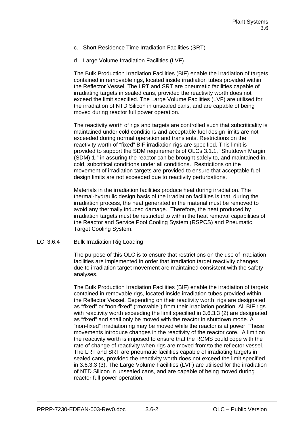- c. Short Residence Time Irradiation Facilities (SRT)
- d. Large Volume Irradiation Facilities (LVF)

The Bulk Production Irradiation Facilities (BIF) enable the irradiation of targets contained in removable rigs, located inside irradiation tubes provided within the Reflector Vessel. The LRT and SRT are pneumatic facilities capable of irradiating targets in sealed cans, provided the reactivity worth does not exceed the limit specified. The Large Volume Facilities (LVF) are utilised for the irradiation of NTD Silicon in unsealed cans, and are capable of being moved during reactor full power operation.

The reactivity worth of rigs and targets are controlled such that subcriticality is maintained under cold conditions and acceptable fuel design limits are not exceeded during normal operation and transients. Restrictions on the reactivity worth of "fixed" BIF irradiation rigs are specified. This limit is provided to support the SDM requirements of OLCs 3.1.1, "Shutdown Margin (SDM)-1," in assuring the reactor can be brought safely to, and maintained in, cold, subcritical conditions under all conditions. Restrictions on the movement of irradiation targets are provided to ensure that acceptable fuel design limits are not exceeded due to reactivity perturbations.

Materials in the irradiation facilities produce heat during irradiation. The thermal-hydraulic design basis of the irradiation facilities is that, during the irradiation process, the heat generated in the material must be removed to avoid any thermally induced damage. Therefore, the heat produced by irradiation targets must be restricted to within the heat removal capabilities of the Reactor and Service Pool Cooling System (RSPCS) and Pneumatic Target Cooling System.

LC 3.6.4 Bulk Irradiation Rig Loading

The purpose of this OLC is to ensure that restrictions on the use of irradiation facilities are implemented in order that irradiation target reactivity changes due to irradiation target movement are maintained consistent with the safety analyses.

The Bulk Production Irradiation Facilities (BIF) enable the irradiation of targets contained in removable rigs, located inside irradiation tubes provided within the Reflector Vessel. Depending on their reactivity worth, rigs are designated as "fixed" or "non-fixed" ("movable") from their irradiation position. All BIF rigs with reactivity worth exceeding the limit specified in 3.6.3.3 (2) are designated as "fixed" and shall only be moved with the reactor in shutdown mode. A "non-fixed" irradiation rig may be moved while the reactor is at power. These movements introduce changes in the reactivity of the reactor core. A limit on the reactivity worth is imposed to ensure that the RCMS could cope with the rate of change of reactivity when rigs are moved from/to the reflector vessel. The LRT and SRT are pneumatic facilities capable of irradiating targets in sealed cans, provided the reactivity worth does not exceed the limit specified in 3.6.3.3 (3). The Large Volume Facilities (LVF) are utilised for the irradiation of NTD Silicon in unsealed cans, and are capable of being moved during reactor full power operation.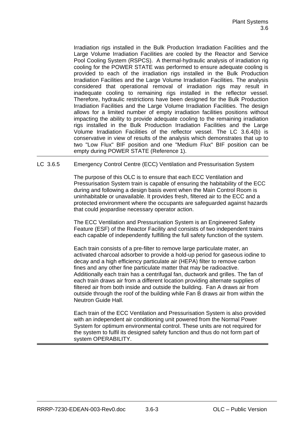Irradiation rigs installed in the Bulk Production Irradiation Facilities and the Large Volume Irradiation Facilities are cooled by the Reactor and Service Pool Cooling System (RSPCS). A thermal-hydraulic analysis of irradiation rig cooling for the POWER STATE was performed to ensure adequate cooling is provided to each of the irradiation rigs installed in the Bulk Production Irradiation Facilities and the Large Volume Irradiation Facilities. The analysis considered that operational removal of irradiation rigs may result in inadequate cooling to remaining rigs installed in the reflector vessel. Therefore, hydraulic restrictions have been designed for the Bulk Production Irradiation Facilities and the Large Volume Irradiation Facilities. The design allows for a limited number of empty irradiation facilities positions without impacting the ability to provide adequate cooling to the remaining irradiation rigs installed in the Bulk Production Irradiation Facilities and the Large Volume Irradiation Facilities of the reflector vessel. The LC 3.6.4(b) is conservative in view of results of the analysis which demonstrates that up to two "Low Flux" BIF position and one "Medium Flux" BIF position can be empty during POWER STATE (Reference 1).

### LC 3.6.5 Emergency Control Centre (ECC) Ventilation and Pressurisation System

The purpose of this OLC is to ensure that each ECC Ventilation and Pressurisation System train is capable of ensuring the habitability of the ECC during and following a design basis event when the Main Control Room is uninhabitable or unavailable. It provides fresh, filtered air to the ECC and a protected environment where the occupants are safeguarded against hazards that could jeopardise necessary operator action.

The ECC Ventilation and Pressurisation System is an Engineered Safety Feature (ESF) of the Reactor Facility and consists of two independent trains each capable of independently fulfilling the full safety function of the system.

Each train consists of a pre-filter to remove large particulate mater, an activated charcoal adsorber to provide a hold-up period for gaseous iodine to decay and a high efficiency particulate air (HEPA) filter to remove carbon fines and any other fine particulate matter that may be radioactive. Additionally each train has a centrifugal fan, ductwork and grilles. The fan of each train draws air from a different location providing alternate supplies of filtered air from both inside and outside the building. Fan A draws air from outside through the roof of the building while Fan B draws air from within the Neutron Guide Hall.

Each train of the ECC Ventilation and Pressurisation System is also provided with an independent air conditioning unit powered from the Normal Power System for optimum environmental control. These units are not required for the system to fulfil its designed safety function and thus do not form part of system OPERABILITY.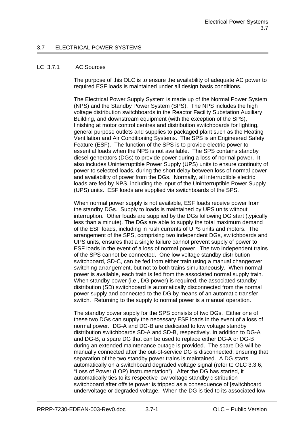#### LC 3.7.1 AC Sources

The purpose of this OLC is to ensure the availability of adequate AC power to required ESF loads is maintained under all design basis conditions.

The Electrical Power Supply System is made up of the Normal Power System (NPS) and the Standby Power System (SPS). The NPS includes the high voltage distribution switchboards in the Reactor Facility Substation Auxiliary Building, and downstream equipment (with the exception of the SPS), finishing at motor control centres and distribution switchboards for lighting, general purpose outlets and supplies to packaged plant such as the Heating Ventilation and Air Conditioning Systems. The SPS is an Engineered Safety Feature (ESF). The function of the SPS is to provide electric power to essential loads when the NPS is not available. The SPS contains standby diesel generators (DGs) to provide power during a loss of normal power. It also includes Uninterruptible Power Supply (UPS) units to ensure continuity of power to selected loads, during the short delay between loss of normal power and availability of power from the DGs. Normally, all interruptible electric loads are fed by NPS, including the input of the Uninterruptible Power Supply (UPS) units. ESF loads are supplied via switchboards of the SPS.

When normal power supply is not available, ESF loads receive power from the standby DGs. Supply to loads is maintained by UPS units without interruption. Other loads are supplied by the DGs following DG start (typically less than a minute). The DGs are able to supply the total maximum demand of the ESF loads, including in rush currents of UPS units and motors. The arrangement of the SPS, comprising two independent DGs, switchboards and UPS units, ensures that a single failure cannot prevent supply of power to ESF loads in the event of a loss of normal power. The two independent trains of the SPS cannot be connected. One low voltage standby distribution switchboard, SD-C, can be fed from either train using a manual changeover switching arrangement, but not to both trains simultaneously. When normal power is available, each train is fed from the associated normal supply train. When standby power (i.e., DG power) is required, the associated standby distribution (SD) switchboard is automatically disconnected from the normal power supply and connected to the DG by means of an automatic transfer switch. Returning to the supply to normal power is a manual operation.

The standby power supply for the SPS consists of two DGs. Either one of these two DGs can supply the necessary ESF loads in the event of a loss of normal power. DG-A and DG-B are dedicated to low voltage standby distribution switchboards SD-A and SD-B, respectively. In addition to DG-A and DG-B, a spare DG that can be used to replace either DG-A or DG-B during an extended maintenance outage is provided. The spare DG will be manually connected after the out-of-service DG is disconnected, ensuring that separation of the two standby power trains is maintained. A DG starts automatically on a switchboard degraded voltage signal (refer to OLC 3.3.6, "Loss of Power (LOP) Instrumentation"). After the DG has started, it automatically ties to its respective low voltage standby distribution switchboard after offsite power is tripped as a consequence of [switchboard] undervoltage or degraded voltage. When the DG is tied to its associated low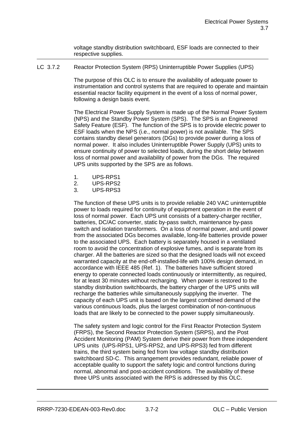voltage standby distribution switchboard, ESF loads are connected to their respective supplies.

LC 3.7.2 Reactor Protection System (RPS) Uninterruptible Power Supplies (UPS)

The purpose of this OLC is to ensure the availability of adequate power to instrumentation and control systems that are required to operate and maintain essential reactor facility equipment in the event of a loss of normal power, following a design basis event.

The Electrical Power Supply System is made up of the Normal Power System (NPS) and the Standby Power System (SPS). The SPS is an Engineered Safety Feature (ESF). The function of the SPS is to provide electric power to ESF loads when the NPS (i.e., normal power) is not available. The SPS contains standby diesel generators (DGs) to provide power during a loss of normal power. It also includes Uninterruptible Power Supply (UPS) units to ensure continuity of power to selected loads, during the short delay between loss of normal power and availability of power from the DGs. The required UPS units supported by the SPS are as follows.

- 1. UPS-RPS1
- 2. UPS-RPS2
- 3. UPS-RPS3

The function of these UPS units is to provide reliable 240 VAC uninterruptible power to loads required for continuity of equipment operation in the event of loss of normal power. Each UPS unit consists of a battery-charger rectifier, batteries, DC/AC converter, static by-pass switch, maintenance by-pass switch and isolation transformers. On a loss of normal power, and until power from the associated DGs becomes available, long-life batteries provide power to the associated UPS. Each battery is separately housed in a ventilated room to avoid the concentration of explosive fumes, and is separate from its charger. All the batteries are sized so that the designed loads will not exceed warranted capacity at the end-off-installed-life with 100% design demand, in accordance with IEEE 485 (Ref. 1). The batteries have sufficient stored energy to operate connected loads continuously or intermittently, as required, for at least 30 minutes without recharging. When power is restored to the standby distribution switchboards, the battery charger of the UPS units will recharge the batteries while simultaneously supplying the inverter. The capacity of each UPS unit is based on the largest combined demand of the various continuous loads, plus the largest combination of non-continuous loads that are likely to be connected to the power supply simultaneously.

The safety system and logic control for the First Reactor Protection System (FRPS), the Second Reactor Protection System (SRPS), and the Post Accident Monitoring (PAM) System derive their power from three independent UPS units (UPS-RPS1, UPS-RPS2, and UPS-RPS3) fed from different trains, the third system being fed from low voltage standby distribution switchboard SD-C. This arrangement provides redundant, reliable power of acceptable quality to support the safety logic and control functions during normal, abnormal and post-accident conditions. The availability of these three UPS units associated with the RPS is addressed by this OLC.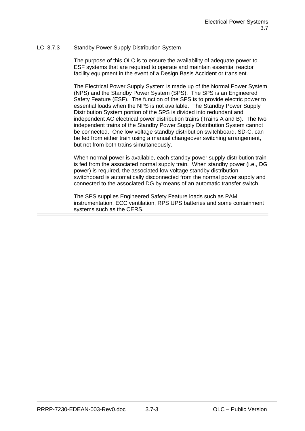## LC 3.7.3 Standby Power Supply Distribution System

The purpose of this OLC is to ensure the availability of adequate power to ESF systems that are required to operate and maintain essential reactor facility equipment in the event of a Design Basis Accident or transient.

The Electrical Power Supply System is made up of the Normal Power System (NPS) and the Standby Power System (SPS). The SPS is an Engineered Safety Feature (ESF). The function of the SPS is to provide electric power to essential loads when the NPS is not available. The Standby Power Supply Distribution System portion of the SPS is divided into redundant and independent AC electrical power distribution trains (Trains A and B). The two independent trains of the Standby Power Supply Distribution System cannot be connected. One low voltage standby distribution switchboard, SD-C, can be fed from either train using a manual changeover switching arrangement, but not from both trains simultaneously.

When normal power is available, each standby power supply distribution train is fed from the associated normal supply train. When standby power (i.e., DG power) is required, the associated low voltage standby distribution switchboard is automatically disconnected from the normal power supply and connected to the associated DG by means of an automatic transfer switch.

The SPS supplies Engineered Safety Feature loads such as PAM instrumentation, ECC ventilation, RPS UPS batteries and some containment systems such as the CERS.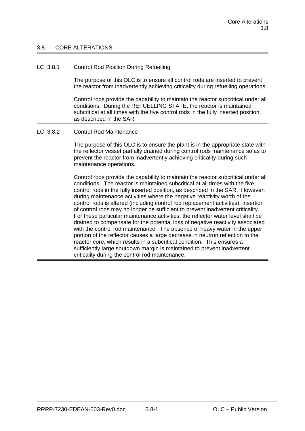#### 3.8 CORE ALTERATIONS

#### LC 3.8.1 Control Rod Position During Refuelling

The purpose of this OLC is to ensure all control rods are inserted to prevent the reactor from inadvertently achieving criticality during refuelling operations.

Control rods provide the capability to maintain the reactor subcritical under all conditions. During the REFUELLING STATE, the reactor is maintained subcritical at all times with the five control rods in the fully inserted position, as described in the SAR.

#### LC 3.8.2 Control Rod Maintenance

The purpose of this OLC is to ensure the plant is in the appropriate state with the reflector vessel partially drained during control rods maintenance so as to prevent the reactor from inadvertently achieving criticality during such maintenance operations.

Control rods provide the capability to maintain the reactor subcritical under all conditions. The reactor is maintained subcritical at all times with the five control rods in the fully inserted position, as described in the SAR. However, during maintenance activities where the negative reactivity worth of the control rods is altered (including control rod replacement activities), insertion of control rods may no longer be sufficient to prevent inadvertent criticality. For these particular maintenance activities, the reflector water level shall be drained to compensate for the potential loss of negative reactivity associated with the control rod maintenance. The absence of heavy water in the upper portion of the reflector causes a large decrease in neutron reflection to the reactor core, which results in a subcritical condition. This ensures a sufficiently large shutdown margin is maintained to prevent inadvertent criticality during the control rod maintenance.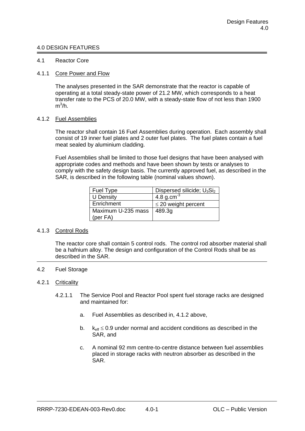#### 4.0 DESIGN FEATURES

#### 4.1 Reactor Core

#### 4.1.1 Core Power and Flow

The analyses presented in the SAR demonstrate that the reactor is capable of operating at a total steady-state power of 21.2 MW, which corresponds to a heat transfer rate to the PCS of 20.0 MW, with a steady-state flow of not less than 1900  $\mathsf{m}^3\!/\!\mathsf{h}.$ 

#### 4.1.2 Fuel Assemblies

The reactor shall contain 16 Fuel Assemblies during operation. Each assembly shall consist of 19 inner fuel plates and 2 outer fuel plates. The fuel plates contain a fuel meat sealed by aluminium cladding.

Fuel Assemblies shall be limited to those fuel designs that have been analysed with appropriate codes and methods and have been shown by tests or analyses to comply with the safety design basis. The currently approved fuel, as described in the SAR, is described in the following table (nominal values shown).

| Fuel Type          | Dispersed silicide; $U_3Si_2$ |
|--------------------|-------------------------------|
| <b>U</b> Density   | 4.8 g.cm <sup>3</sup>         |
| Enrichment         | $\leq$ 20 weight percent      |
| Maximum U-235 mass | 489.3g                        |
| (per $FA$ )        |                               |

#### 4.1.3 Control Rods

The reactor core shall contain 5 control rods. The control rod absorber material shall be a hafnium alloy. The design and configuration of the Control Rods shall be as described in the SAR.

#### 4.2 Fuel Storage

#### 4.2.1 Criticality

- 4.2.1.1 The Service Pool and Reactor Pool spent fuel storage racks are designed and maintained for:
	- a. Fuel Assemblies as described in, 4.1.2 above,
	- b.  $k_{eff} \leq 0.9$  under normal and accident conditions as described in the SAR, and
	- c. A nominal 92 mm centre-to-centre distance between fuel assemblies placed in storage racks with neutron absorber as described in the SAR.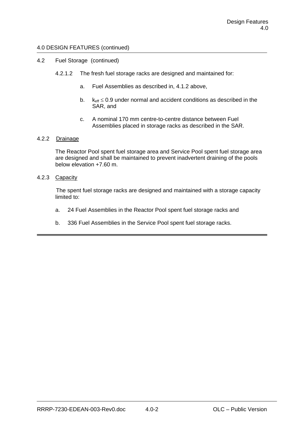#### 4.0 DESIGN FEATURES (continued)

- 4.2 Fuel Storage (continued)
	- 4.2.1.2 The fresh fuel storage racks are designed and maintained for:
		- a. Fuel Assemblies as described in, 4.1.2 above,
		- b.  $k_{\text{eff}} \leq 0.9$  under normal and accident conditions as described in the SAR, and
		- c. A nominal 170 mm centre-to-centre distance between Fuel Assemblies placed in storage racks as described in the SAR.

#### 4.2.2 Drainage

The Reactor Pool spent fuel storage area and Service Pool spent fuel storage area are designed and shall be maintained to prevent inadvertent draining of the pools below elevation +7.60 m.

#### 4.2.3 Capacity

The spent fuel storage racks are designed and maintained with a storage capacity limited to:

- a. 24 Fuel Assemblies in the Reactor Pool spent fuel storage racks and
- b. 336 Fuel Assemblies in the Service Pool spent fuel storage racks.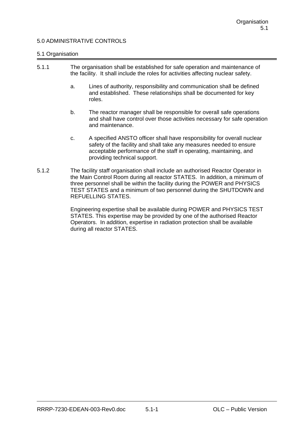## 5.0 ADMINISTRATIVE CONTROLS

#### 5.1 Organisation

| 5.1.1 |    | The organisation shall be established for safe operation and maintenance of<br>the facility. It shall include the roles for activities affecting nuclear safety. |  |  |
|-------|----|------------------------------------------------------------------------------------------------------------------------------------------------------------------|--|--|
|       | а. | Lines of authority, responsibility and communication shall be defined<br>and established. These relationships shall be documented for key<br>roles.              |  |  |
|       |    | The reactor manager shall be responsible for overall safe operations                                                                                             |  |  |

- b. The reactor manager shall be responsible for overall safe operations and shall have control over those activities necessary for safe operation and maintenance.
- c. A specified ANSTO officer shall have responsibility for overall nuclear safety of the facility and shall take any measures needed to ensure acceptable performance of the staff in operating, maintaining, and providing technical support.
- 5.1.2 The facility staff organisation shall include an authorised Reactor Operator in the Main Control Room during all reactor STATES. In addition, a minimum of three personnel shall be within the facility during the POWER and PHYSICS TEST STATES and a minimum of two personnel during the SHUTDOWN and REFUELLING STATES.

Engineering expertise shall be available during POWER and PHYSICS TEST STATES. This expertise may be provided by one of the authorised Reactor Operators. In addition, expertise in radiation protection shall be available during all reactor STATES.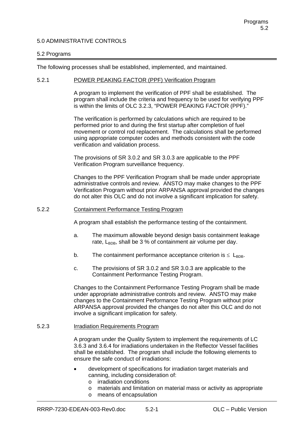## 5.0 ADMINISTRATIVE CONTROLS

#### 5.2 Programs

The following processes shall be established, implemented, and maintained.

#### 5.2.1 POWER PEAKING FACTOR (PPF) Verification Program

A program to implement the verification of PPF shall be established. The program shall include the criteria and frequency to be used for verifying PPF is within the limits of OLC 3.2.3, "POWER PEAKING FACTOR (PPF)."

The verification is performed by calculations which are required to be performed prior to and during the first startup after completion of fuel movement or control rod replacement. The calculations shall be performed using appropriate computer codes and methods consistent with the code verification and validation process.

The provisions of SR 3.0.2 and SR 3.0.3 are applicable to the PPF Verification Program surveillance frequency.

Changes to the PPF Verification Program shall be made under appropriate administrative controls and review. ANSTO may make changes to the PPF Verification Program without prior ARPANSA approval provided the changes do not alter this OLC and do not involve a significant implication for safety.

#### 5.2.2 Containment Performance Testing Program

A program shall establish the performance testing of the containment.

- a. The maximum allowable beyond design basis containment leakage rate,  $L_{\text{BDB}}$ , shall be 3 % of containment air volume per day.
- b. The containment performance acceptance criterion is  $\leq$  L<sub>BDB</sub>.
- c. The provisions of SR 3.0.2 and SR 3.0.3 are applicable to the Containment Performance Testing Program.

Changes to the Containment Performance Testing Program shall be made under appropriate administrative controls and review. ANSTO may make changes to the Containment Performance Testing Program without prior ARPANSA approval provided the changes do not alter this OLC and do not involve a significant implication for safety.

#### 5.2.3 Irradiation Requirements Program

A program under the Quality System to implement the requirements of LC 3.6.3 and 3.6.4 for irradiations undertaken in the Reflector Vessel facilities shall be established. The program shall include the following elements to ensure the safe conduct of irradiations:

- development of specifications for irradiation target materials and canning, including consideration of:
	- o irradiation conditions
	- o materials and limitation on material mass or activity as appropriate
	- o means of encapsulation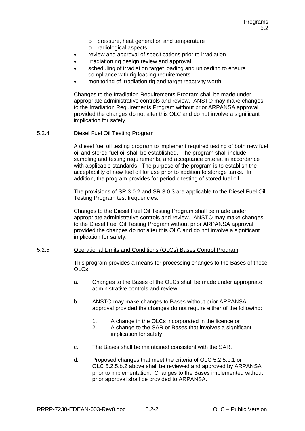- o pressure, heat generation and temperature
- o radiological aspects
- review and approval of specifications prior to irradiation
- irradiation rig design review and approval
- scheduling of irradiation target loading and unloading to ensure compliance with rig loading requirements
- monitoring of irradiation rig and target reactivity worth

Changes to the Irradiation Requirements Program shall be made under appropriate administrative controls and review. ANSTO may make changes to the Irradiation Requirements Program without prior ARPANSA approval provided the changes do not alter this OLC and do not involve a significant implication for safety.

#### 5.2.4 Diesel Fuel Oil Testing Program

A diesel fuel oil testing program to implement required testing of both new fuel oil and stored fuel oil shall be established. The program shall include sampling and testing requirements, and acceptance criteria, in accordance with applicable standards. The purpose of the program is to establish the acceptability of new fuel oil for use prior to addition to storage tanks. In addition, the program provides for periodic testing of stored fuel oil.

The provisions of SR 3.0.2 and SR 3.0.3 are applicable to the Diesel Fuel Oil Testing Program test frequencies.

Changes to the Diesel Fuel Oil Testing Program shall be made under appropriate administrative controls and review. ANSTO may make changes to the Diesel Fuel Oil Testing Program without prior ARPANSA approval provided the changes do not alter this OLC and do not involve a significant implication for safety.

#### 5.2.5 Operational Limits and Conditions (OLCs) Bases Control Program

This program provides a means for processing changes to the Bases of these OLCs.

- a. Changes to the Bases of the OLCs shall be made under appropriate administrative controls and review.
- b. ANSTO may make changes to Bases without prior ARPANSA approval provided the changes do not require either of the following:
	- 1. A change in the OLCs incorporated in the licence or
	- 2. A change to the SAR or Bases that involves a significant implication for safety.
- c. The Bases shall be maintained consistent with the SAR.
- d. Proposed changes that meet the criteria of OLC 5.2.5.b.1 or OLC 5.2.5.b.2 above shall be reviewed and approved by ARPANSA prior to implementation. Changes to the Bases implemented without prior approval shall be provided to ARPANSA.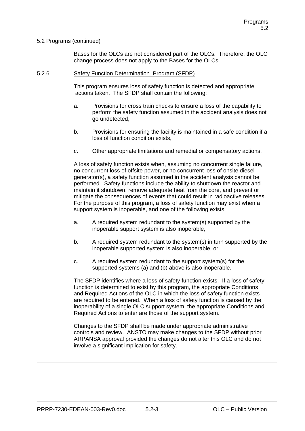### 5.2 Programs (continued)

Bases for the OLCs are not considered part of the OLCs. Therefore, the OLC change process does not apply to the Bases for the OLCs.

#### 5.2.6 Safety Function Determination Program (SFDP)

This program ensures loss of safety function is detected and appropriate actions taken. The SFDP shall contain the following:

- a. Provisions for cross train checks to ensure a loss of the capability to perform the safety function assumed in the accident analysis does not go undetected,
- b. Provisions for ensuring the facility is maintained in a safe condition if a loss of function condition exists,
- c. Other appropriate limitations and remedial or compensatory actions.

A loss of safety function exists when, assuming no concurrent single failure, no concurrent loss of offsite power, or no concurrent loss of onsite diesel generator(s), a safety function assumed in the accident analysis cannot be performed. Safety functions include the ability to shutdown the reactor and maintain it shutdown, remove adequate heat from the core, and prevent or mitigate the consequences of events that could result in radioactive releases. For the purpose of this program, a loss of safety function may exist when a support system is inoperable, and one of the following exists:

- a. A required system redundant to the system(s) supported by the inoperable support system is also inoperable,
- b. A required system redundant to the system(s) in turn supported by the inoperable supported system is also inoperable, or
- c. A required system redundant to the support system(s) for the supported systems (a) and (b) above is also inoperable.

The SFDP identifies where a loss of safety function exists. If a loss of safety function is determined to exist by this program, the appropriate Conditions and Required Actions of the OLC in which the loss of safety function exists are required to be entered. When a loss of safety function is caused by the inoperability of a single OLC support system, the appropriate Conditions and Required Actions to enter are those of the support system.

Changes to the SFDP shall be made under appropriate administrative controls and review. ANSTO may make changes to the SFDP without prior ARPANSA approval provided the changes do not alter this OLC and do not involve a significant implication for safety.